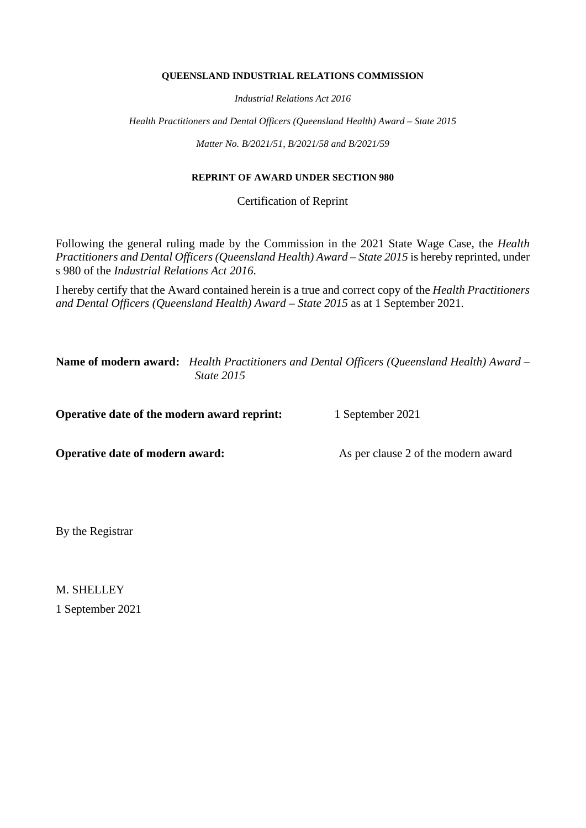#### **QUEENSLAND INDUSTRIAL RELATIONS COMMISSION**

*Industrial Relations Act 2016*

*Health Practitioners and Dental Officers (Queensland Health) Award – State 2015*

*Matter No. B/2021/51, B/2021/58 and B/2021/59*

#### **REPRINT OF AWARD UNDER SECTION 980**

Certification of Reprint

Following the general ruling made by the Commission in the 2021 State Wage Case, the *Health Practitioners and Dental Officers (Queensland Health) Award – State 2015* is hereby reprinted, under s 980 of the *Industrial Relations Act 2016*.

I hereby certify that the Award contained herein is a true and correct copy of the *Health Practitioners and Dental Officers (Queensland Health) Award – State 2015* as at 1 September 2021.

**Name of modern award:** *Health Practitioners and Dental Officers (Queensland Health) Award – State 2015*

**Operative date of the modern award reprint:** 1 September 2021

**Operative date of modern award:** As per clause 2 of the modern award

By the Registrar

M. SHELLEY 1 September 2021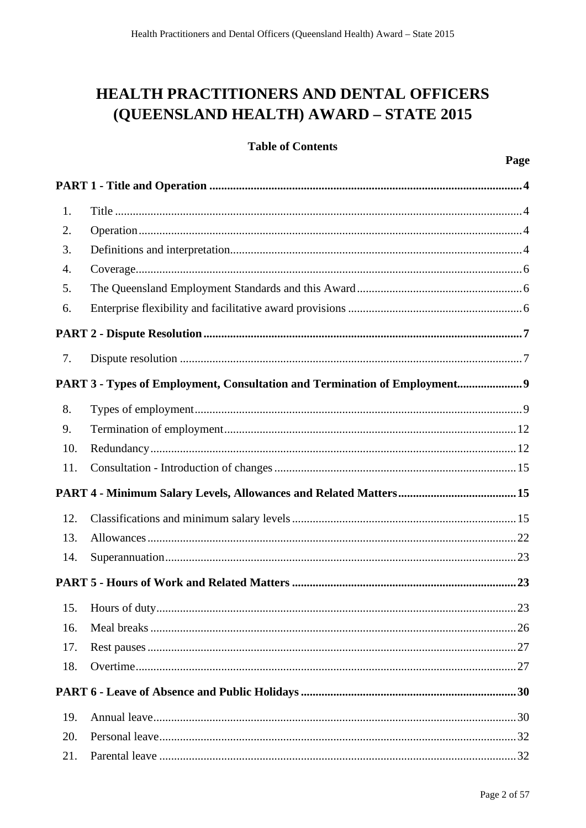# **HEALTH PRACTITIONERS AND DENTAL OFFICERS** (QUEENSLAND HEALTH) AWARD - STATE 2015

## **Table of Contents**

| 1.  |                                                                           |
|-----|---------------------------------------------------------------------------|
| 2.  |                                                                           |
| 3.  |                                                                           |
| 4.  |                                                                           |
| 5.  |                                                                           |
| 6.  |                                                                           |
|     |                                                                           |
| 7.  |                                                                           |
|     | PART 3 - Types of Employment, Consultation and Termination of Employment9 |
| 8.  |                                                                           |
| 9.  |                                                                           |
| 10. |                                                                           |
| 11. |                                                                           |
|     |                                                                           |
| 12. |                                                                           |
| 13. |                                                                           |
| 14. |                                                                           |
|     |                                                                           |
| 15. |                                                                           |
| 16. |                                                                           |
| 17. |                                                                           |
| 18. |                                                                           |
|     |                                                                           |
| 19. |                                                                           |
| 20. |                                                                           |
| 21. |                                                                           |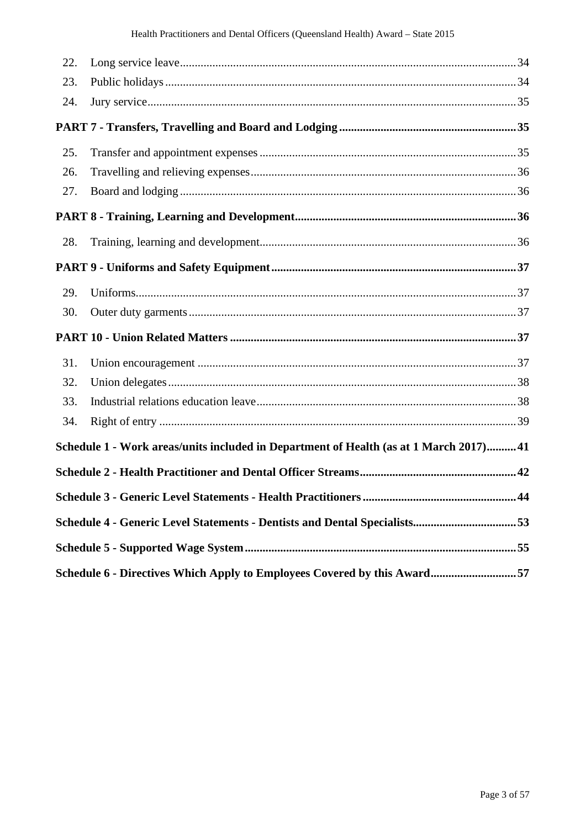| 22. |                                                                                        |  |  |  |
|-----|----------------------------------------------------------------------------------------|--|--|--|
| 23. |                                                                                        |  |  |  |
| 24. |                                                                                        |  |  |  |
|     |                                                                                        |  |  |  |
| 25. |                                                                                        |  |  |  |
| 26. |                                                                                        |  |  |  |
| 27. |                                                                                        |  |  |  |
|     |                                                                                        |  |  |  |
| 28. |                                                                                        |  |  |  |
|     |                                                                                        |  |  |  |
| 29. |                                                                                        |  |  |  |
| 30. |                                                                                        |  |  |  |
|     |                                                                                        |  |  |  |
| 31. |                                                                                        |  |  |  |
| 32. |                                                                                        |  |  |  |
| 33. |                                                                                        |  |  |  |
| 34. |                                                                                        |  |  |  |
|     | Schedule 1 - Work areas/units included in Department of Health (as at 1 March 2017) 41 |  |  |  |
|     |                                                                                        |  |  |  |
|     |                                                                                        |  |  |  |
|     |                                                                                        |  |  |  |
|     |                                                                                        |  |  |  |
|     | Schedule 6 - Directives Which Apply to Employees Covered by this Award57               |  |  |  |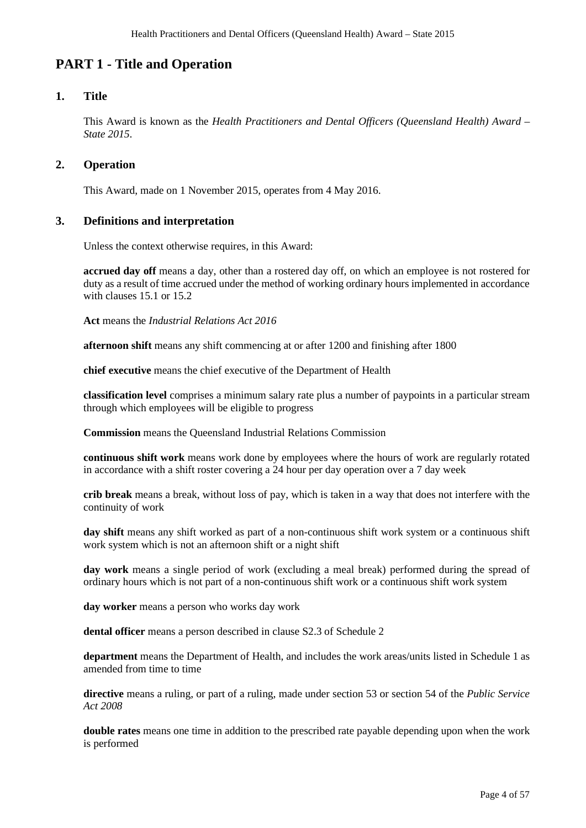## **PART 1 - Title and Operation**

## **1. Title**

This Award is known as the *Health Practitioners and Dental Officers (Queensland Health) Award – State 2015*.

## **2. Operation**

This Award, made on 1 November 2015, operates from 4 May 2016.

## **3. Definitions and interpretation**

Unless the context otherwise requires, in this Award:

**accrued day off** means a day, other than a rostered day off, on which an employee is not rostered for duty as a result of time accrued under the method of working ordinary hours implemented in accordance with clauses 15.1 or 15.2

**Act** means the *Industrial Relations Act 2016*

**afternoon shift** means any shift commencing at or after 1200 and finishing after 1800

**chief executive** means the chief executive of the Department of Health

**classification level** comprises a minimum salary rate plus a number of paypoints in a particular stream through which employees will be eligible to progress

**Commission** means the Queensland Industrial Relations Commission

**continuous shift work** means work done by employees where the hours of work are regularly rotated in accordance with a shift roster covering a 24 hour per day operation over a 7 day week

**crib break** means a break, without loss of pay, which is taken in a way that does not interfere with the continuity of work

**day shift** means any shift worked as part of a non-continuous shift work system or a continuous shift work system which is not an afternoon shift or a night shift

**day work** means a single period of work (excluding a meal break) performed during the spread of ordinary hours which is not part of a non-continuous shift work or a continuous shift work system

**day worker** means a person who works day work

**dental officer** means a person described in clause S2.3 of Schedule 2

**department** means the Department of Health, and includes the work areas/units listed in Schedule 1 as amended from time to time

**directive** means a ruling, or part of a ruling, made under section 53 or section 54 of the *Public Service Act 2008*

**double rates** means one time in addition to the prescribed rate payable depending upon when the work is performed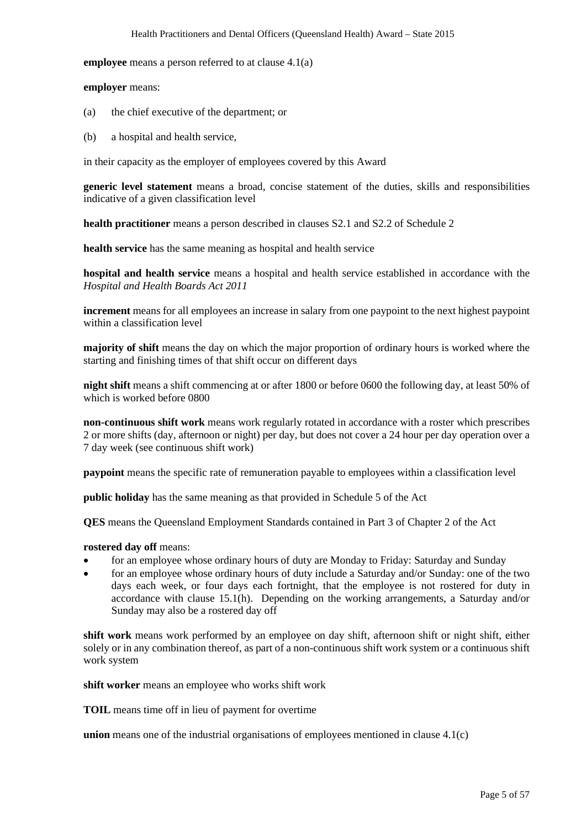**employee** means a person referred to at clause 4.1(a)

**employer** means:

- (a) the chief executive of the department; or
- (b) a hospital and health service,

in their capacity as the employer of employees covered by this Award

**generic level statement** means a broad, concise statement of the duties, skills and responsibilities indicative of a given classification level

**health practitioner** means a person described in clauses S2.1 and S2.2 of Schedule 2

**health service** has the same meaning as hospital and health service

**hospital and health service** means a hospital and health service established in accordance with the *Hospital and Health Boards Act 2011*

**increment** means for all employees an increase in salary from one paypoint to the next highest paypoint within a classification level

**majority of shift** means the day on which the major proportion of ordinary hours is worked where the starting and finishing times of that shift occur on different days

**night shift** means a shift commencing at or after 1800 or before 0600 the following day, at least 50% of which is worked before 0800

**non-continuous shift work** means work regularly rotated in accordance with a roster which prescribes 2 or more shifts (day, afternoon or night) per day, but does not cover a 24 hour per day operation over a 7 day week (see continuous shift work)

**paypoint** means the specific rate of remuneration payable to employees within a classification level

**public holiday** has the same meaning as that provided in Schedule 5 of the Act

**QES** means the Queensland Employment Standards contained in Part 3 of Chapter 2 of the Act

#### **rostered day off** means:

- for an employee whose ordinary hours of duty are Monday to Friday: Saturday and Sunday
- for an employee whose ordinary hours of duty include a Saturday and/or Sunday: one of the two days each week, or four days each fortnight, that the employee is not rostered for duty in accordance with clause 15.1(h). Depending on the working arrangements, a Saturday and/or Sunday may also be a rostered day off

**shift work** means work performed by an employee on day shift, afternoon shift or night shift, either solely or in any combination thereof, as part of a non-continuous shift work system or a continuous shift work system

**shift worker** means an employee who works shift work

**TOIL** means time off in lieu of payment for overtime

**union** means one of the industrial organisations of employees mentioned in clause 4.1(c)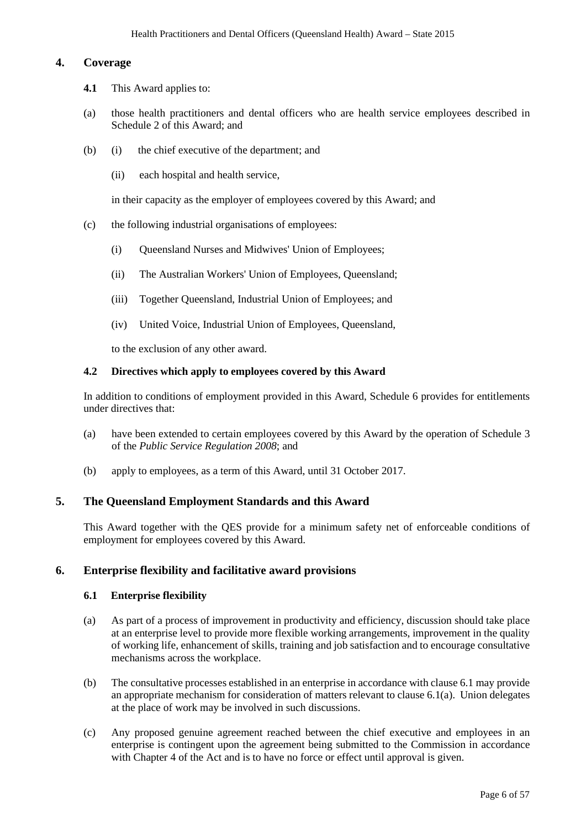## **4. Coverage**

- **4.1** This Award applies to:
- (a) those health practitioners and dental officers who are health service employees described in Schedule 2 of this Award; and
- (b) (i) the chief executive of the department; and
	- (ii) each hospital and health service,

in their capacity as the employer of employees covered by this Award; and

- (c) the following industrial organisations of employees:
	- (i) Queensland Nurses and Midwives' Union of Employees;
	- (ii) The Australian Workers' Union of Employees, Queensland;
	- (iii) Together Queensland, Industrial Union of Employees; and
	- (iv) United Voice, Industrial Union of Employees, Queensland,

to the exclusion of any other award.

#### **4.2 Directives which apply to employees covered by this Award**

In addition to conditions of employment provided in this Award, Schedule 6 provides for entitlements under directives that:

- (a) have been extended to certain employees covered by this Award by the operation of Schedule 3 of the *Public Service Regulation 2008*; and
- (b) apply to employees, as a term of this Award, until 31 October 2017.

#### **5. The Queensland Employment Standards and this Award**

This Award together with the QES provide for a minimum safety net of enforceable conditions of employment for employees covered by this Award.

#### **6. Enterprise flexibility and facilitative award provisions**

#### **6.1 Enterprise flexibility**

- (a) As part of a process of improvement in productivity and efficiency, discussion should take place at an enterprise level to provide more flexible working arrangements, improvement in the quality of working life, enhancement of skills, training and job satisfaction and to encourage consultative mechanisms across the workplace.
- (b) The consultative processes established in an enterprise in accordance with clause 6.1 may provide an appropriate mechanism for consideration of matters relevant to clause 6.1(a). Union delegates at the place of work may be involved in such discussions.
- (c) Any proposed genuine agreement reached between the chief executive and employees in an enterprise is contingent upon the agreement being submitted to the Commission in accordance with Chapter 4 of the Act and is to have no force or effect until approval is given.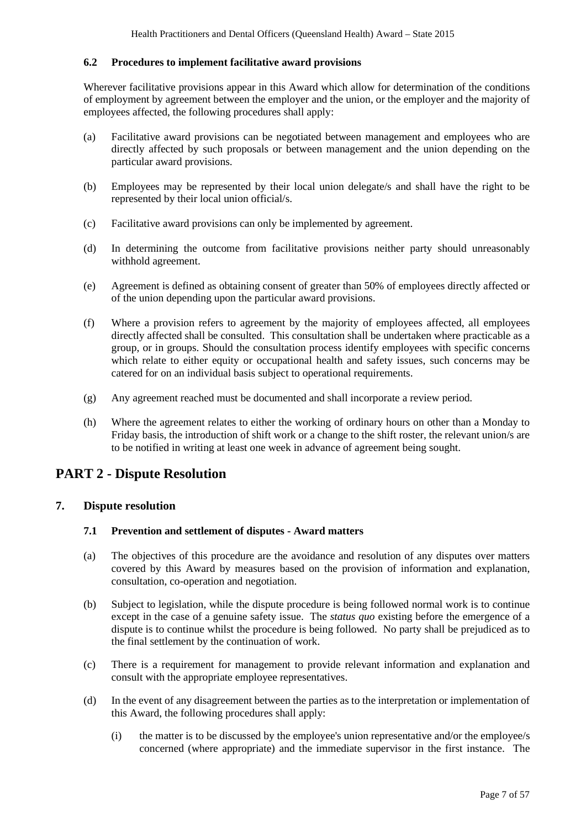#### **6.2 Procedures to implement facilitative award provisions**

Wherever facilitative provisions appear in this Award which allow for determination of the conditions of employment by agreement between the employer and the union, or the employer and the majority of employees affected, the following procedures shall apply:

- (a) Facilitative award provisions can be negotiated between management and employees who are directly affected by such proposals or between management and the union depending on the particular award provisions.
- (b) Employees may be represented by their local union delegate/s and shall have the right to be represented by their local union official/s.
- (c) Facilitative award provisions can only be implemented by agreement.
- (d) In determining the outcome from facilitative provisions neither party should unreasonably withhold agreement.
- (e) Agreement is defined as obtaining consent of greater than 50% of employees directly affected or of the union depending upon the particular award provisions.
- (f) Where a provision refers to agreement by the majority of employees affected, all employees directly affected shall be consulted. This consultation shall be undertaken where practicable as a group, or in groups. Should the consultation process identify employees with specific concerns which relate to either equity or occupational health and safety issues, such concerns may be catered for on an individual basis subject to operational requirements.
- (g) Any agreement reached must be documented and shall incorporate a review period.
- (h) Where the agreement relates to either the working of ordinary hours on other than a Monday to Friday basis, the introduction of shift work or a change to the shift roster, the relevant union/s are to be notified in writing at least one week in advance of agreement being sought.

## **PART 2 - Dispute Resolution**

## **7. Dispute resolution**

#### **7.1 Prevention and settlement of disputes - Award matters**

- (a) The objectives of this procedure are the avoidance and resolution of any disputes over matters covered by this Award by measures based on the provision of information and explanation, consultation, co-operation and negotiation.
- (b) Subject to legislation, while the dispute procedure is being followed normal work is to continue except in the case of a genuine safety issue. The *status quo* existing before the emergence of a dispute is to continue whilst the procedure is being followed. No party shall be prejudiced as to the final settlement by the continuation of work.
- (c) There is a requirement for management to provide relevant information and explanation and consult with the appropriate employee representatives.
- (d) In the event of any disagreement between the parties as to the interpretation or implementation of this Award, the following procedures shall apply:
	- (i) the matter is to be discussed by the employee's union representative and/or the employee/s concerned (where appropriate) and the immediate supervisor in the first instance. The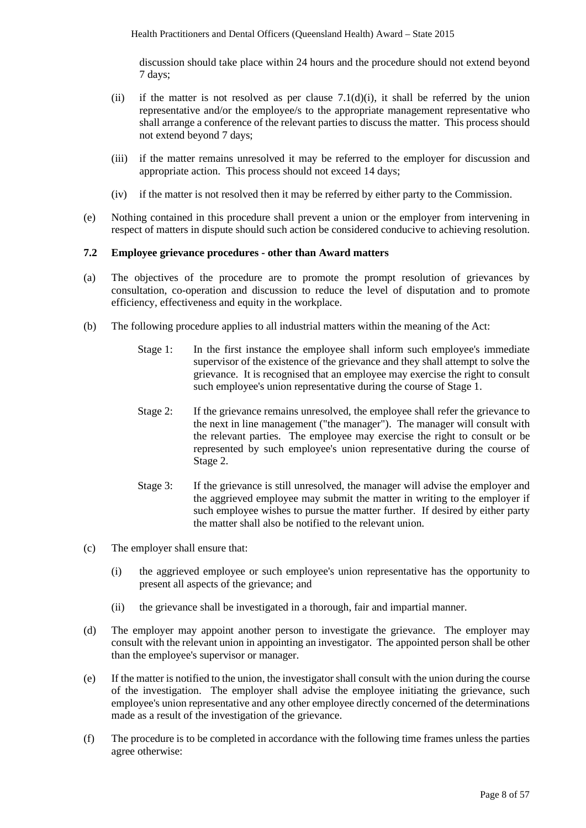discussion should take place within 24 hours and the procedure should not extend beyond 7 days;

- (ii) if the matter is not resolved as per clause  $7.1(d)(i)$ , it shall be referred by the union representative and/or the employee/s to the appropriate management representative who shall arrange a conference of the relevant parties to discuss the matter. This process should not extend beyond 7 days;
- (iii) if the matter remains unresolved it may be referred to the employer for discussion and appropriate action. This process should not exceed 14 days;
- (iv) if the matter is not resolved then it may be referred by either party to the Commission.
- (e) Nothing contained in this procedure shall prevent a union or the employer from intervening in respect of matters in dispute should such action be considered conducive to achieving resolution.

#### **7.2 Employee grievance procedures - other than Award matters**

- (a) The objectives of the procedure are to promote the prompt resolution of grievances by consultation, co-operation and discussion to reduce the level of disputation and to promote efficiency, effectiveness and equity in the workplace.
- (b) The following procedure applies to all industrial matters within the meaning of the Act:
	- Stage 1: In the first instance the employee shall inform such employee's immediate supervisor of the existence of the grievance and they shall attempt to solve the grievance. It is recognised that an employee may exercise the right to consult such employee's union representative during the course of Stage 1.
	- Stage 2: If the grievance remains unresolved, the employee shall refer the grievance to the next in line management ("the manager"). The manager will consult with the relevant parties. The employee may exercise the right to consult or be represented by such employee's union representative during the course of Stage 2.
	- Stage 3: If the grievance is still unresolved, the manager will advise the employer and the aggrieved employee may submit the matter in writing to the employer if such employee wishes to pursue the matter further. If desired by either party the matter shall also be notified to the relevant union.
- (c) The employer shall ensure that:
	- (i) the aggrieved employee or such employee's union representative has the opportunity to present all aspects of the grievance; and
	- (ii) the grievance shall be investigated in a thorough, fair and impartial manner.
- (d) The employer may appoint another person to investigate the grievance. The employer may consult with the relevant union in appointing an investigator. The appointed person shall be other than the employee's supervisor or manager.
- (e) If the matter is notified to the union, the investigator shall consult with the union during the course of the investigation. The employer shall advise the employee initiating the grievance, such employee's union representative and any other employee directly concerned of the determinations made as a result of the investigation of the grievance.
- (f) The procedure is to be completed in accordance with the following time frames unless the parties agree otherwise: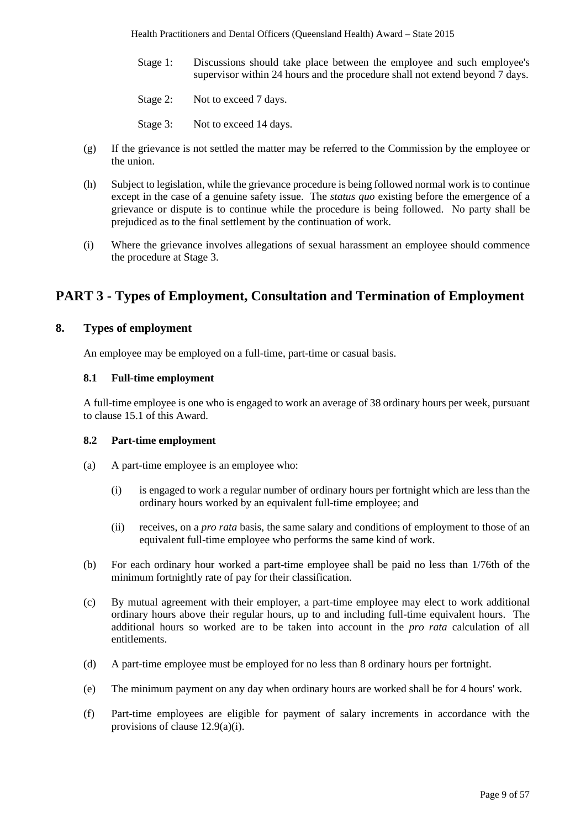- Stage 1: Discussions should take place between the employee and such employee's supervisor within 24 hours and the procedure shall not extend beyond 7 days.
- Stage 2: Not to exceed 7 days.
- Stage 3: Not to exceed 14 days.
- (g) If the grievance is not settled the matter may be referred to the Commission by the employee or the union.
- (h) Subject to legislation, while the grievance procedure is being followed normal work is to continue except in the case of a genuine safety issue. The *status quo* existing before the emergence of a grievance or dispute is to continue while the procedure is being followed. No party shall be prejudiced as to the final settlement by the continuation of work.
- (i) Where the grievance involves allegations of sexual harassment an employee should commence the procedure at Stage 3.

## **PART 3 - Types of Employment, Consultation and Termination of Employment**

## **8. Types of employment**

An employee may be employed on a full-time, part-time or casual basis.

#### **8.1 Full-time employment**

A full-time employee is one who is engaged to work an average of 38 ordinary hours per week, pursuant to clause 15.1 of this Award.

#### **8.2 Part-time employment**

- (a) A part-time employee is an employee who:
	- (i) is engaged to work a regular number of ordinary hours per fortnight which are less than the ordinary hours worked by an equivalent full-time employee; and
	- (ii) receives, on a *pro rata* basis, the same salary and conditions of employment to those of an equivalent full-time employee who performs the same kind of work.
- (b) For each ordinary hour worked a part-time employee shall be paid no less than 1/76th of the minimum fortnightly rate of pay for their classification.
- (c) By mutual agreement with their employer, a part-time employee may elect to work additional ordinary hours above their regular hours, up to and including full-time equivalent hours. The additional hours so worked are to be taken into account in the *pro rata* calculation of all entitlements.
- (d) A part-time employee must be employed for no less than 8 ordinary hours per fortnight.
- (e) The minimum payment on any day when ordinary hours are worked shall be for 4 hours' work.
- (f) Part-time employees are eligible for payment of salary increments in accordance with the provisions of clause 12.9(a)(i).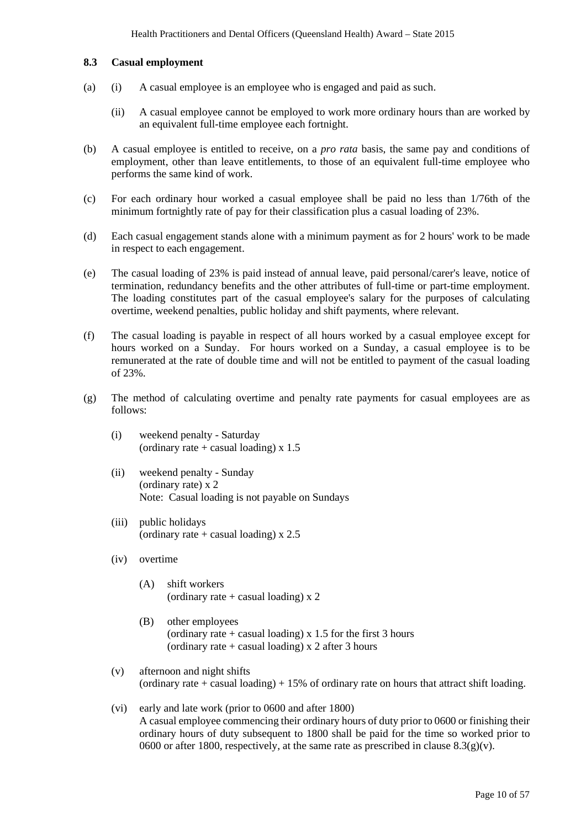#### **8.3 Casual employment**

- (a) (i) A casual employee is an employee who is engaged and paid as such.
	- (ii) A casual employee cannot be employed to work more ordinary hours than are worked by an equivalent full-time employee each fortnight.
- (b) A casual employee is entitled to receive, on a *pro rata* basis, the same pay and conditions of employment, other than leave entitlements, to those of an equivalent full-time employee who performs the same kind of work.
- (c) For each ordinary hour worked a casual employee shall be paid no less than 1/76th of the minimum fortnightly rate of pay for their classification plus a casual loading of 23%.
- (d) Each casual engagement stands alone with a minimum payment as for 2 hours' work to be made in respect to each engagement.
- (e) The casual loading of 23% is paid instead of annual leave, paid personal/carer's leave, notice of termination, redundancy benefits and the other attributes of full-time or part-time employment. The loading constitutes part of the casual employee's salary for the purposes of calculating overtime, weekend penalties, public holiday and shift payments, where relevant.
- (f) The casual loading is payable in respect of all hours worked by a casual employee except for hours worked on a Sunday. For hours worked on a Sunday, a casual employee is to be remunerated at the rate of double time and will not be entitled to payment of the casual loading of 23%.
- (g) The method of calculating overtime and penalty rate payments for casual employees are as follows:
	- (i) weekend penalty Saturday (ordinary rate  $+$  casual loading) x 1.5
	- (ii) weekend penalty Sunday (ordinary rate) x 2 Note: Casual loading is not payable on Sundays
	- (iii) public holidays (ordinary rate  $+$  casual loading) x 2.5
	- (iv) overtime
		- (A) shift workers (ordinary rate  $+$  casual loading) x 2
		- (B) other employees (ordinary rate  $+$  casual loading) x 1.5 for the first 3 hours (ordinary rate  $+$  casual loading) x 2 after 3 hours
	- (v) afternoon and night shifts (ordinary rate + casual loading)  $+ 15\%$  of ordinary rate on hours that attract shift loading.
	- (vi) early and late work (prior to 0600 and after 1800) A casual employee commencing their ordinary hours of duty prior to 0600 or finishing their ordinary hours of duty subsequent to 1800 shall be paid for the time so worked prior to 0600 or after 1800, respectively, at the same rate as prescribed in clause  $8.3(g)(v)$ .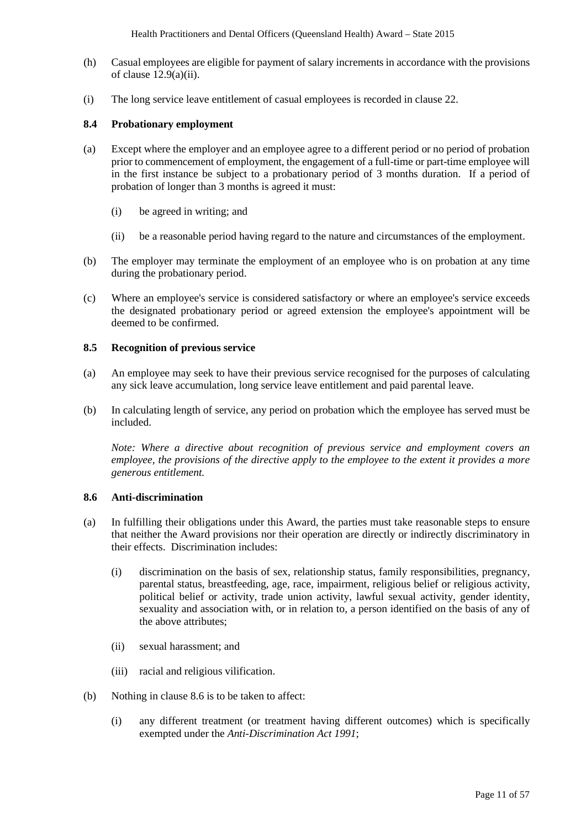- (h) Casual employees are eligible for payment of salary increments in accordance with the provisions of clause 12.9(a)(ii).
- (i) The long service leave entitlement of casual employees is recorded in clause 22.

#### **8.4 Probationary employment**

- (a) Except where the employer and an employee agree to a different period or no period of probation prior to commencement of employment, the engagement of a full-time or part-time employee will in the first instance be subject to a probationary period of 3 months duration. If a period of probation of longer than 3 months is agreed it must:
	- (i) be agreed in writing; and
	- (ii) be a reasonable period having regard to the nature and circumstances of the employment.
- (b) The employer may terminate the employment of an employee who is on probation at any time during the probationary period.
- (c) Where an employee's service is considered satisfactory or where an employee's service exceeds the designated probationary period or agreed extension the employee's appointment will be deemed to be confirmed.

#### **8.5 Recognition of previous service**

- (a) An employee may seek to have their previous service recognised for the purposes of calculating any sick leave accumulation, long service leave entitlement and paid parental leave.
- (b) In calculating length of service, any period on probation which the employee has served must be included.

*Note: Where a directive about recognition of previous service and employment covers an employee, the provisions of the directive apply to the employee to the extent it provides a more generous entitlement.*

#### **8.6 Anti-discrimination**

- (a) In fulfilling their obligations under this Award, the parties must take reasonable steps to ensure that neither the Award provisions nor their operation are directly or indirectly discriminatory in their effects. Discrimination includes:
	- (i) discrimination on the basis of sex, relationship status, family responsibilities, pregnancy, parental status, breastfeeding, age, race, impairment, religious belief or religious activity, political belief or activity, trade union activity, lawful sexual activity, gender identity, sexuality and association with, or in relation to, a person identified on the basis of any of the above attributes;
	- (ii) sexual harassment; and
	- (iii) racial and religious vilification.
- (b) Nothing in clause 8.6 is to be taken to affect:
	- (i) any different treatment (or treatment having different outcomes) which is specifically exempted under the *Anti-Discrimination Act 1991*;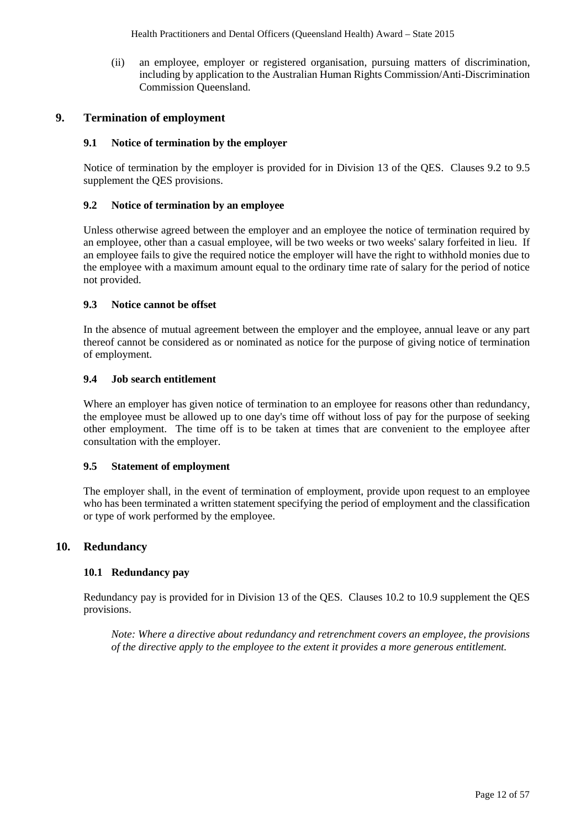(ii) an employee, employer or registered organisation, pursuing matters of discrimination, including by application to the Australian Human Rights Commission/Anti-Discrimination Commission Queensland.

## **9. Termination of employment**

#### **9.1 Notice of termination by the employer**

Notice of termination by the employer is provided for in Division 13 of the QES. Clauses 9.2 to 9.5 supplement the QES provisions.

#### **9.2 Notice of termination by an employee**

Unless otherwise agreed between the employer and an employee the notice of termination required by an employee, other than a casual employee, will be two weeks or two weeks' salary forfeited in lieu. If an employee fails to give the required notice the employer will have the right to withhold monies due to the employee with a maximum amount equal to the ordinary time rate of salary for the period of notice not provided.

#### **9.3 Notice cannot be offset**

In the absence of mutual agreement between the employer and the employee, annual leave or any part thereof cannot be considered as or nominated as notice for the purpose of giving notice of termination of employment.

#### **9.4 Job search entitlement**

Where an employer has given notice of termination to an employee for reasons other than redundancy, the employee must be allowed up to one day's time off without loss of pay for the purpose of seeking other employment. The time off is to be taken at times that are convenient to the employee after consultation with the employer.

#### **9.5 Statement of employment**

The employer shall, in the event of termination of employment, provide upon request to an employee who has been terminated a written statement specifying the period of employment and the classification or type of work performed by the employee.

#### **10. Redundancy**

### **10.1 Redundancy pay**

Redundancy pay is provided for in Division 13 of the QES. Clauses 10.2 to 10.9 supplement the QES provisions.

*Note: Where a directive about redundancy and retrenchment covers an employee, the provisions of the directive apply to the employee to the extent it provides a more generous entitlement.*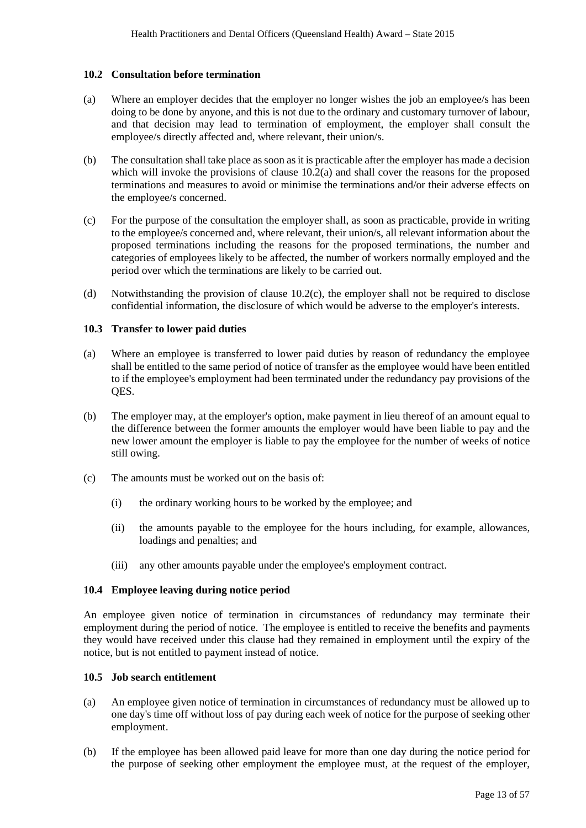#### **10.2 Consultation before termination**

- (a) Where an employer decides that the employer no longer wishes the job an employee/s has been doing to be done by anyone, and this is not due to the ordinary and customary turnover of labour, and that decision may lead to termination of employment, the employer shall consult the employee/s directly affected and, where relevant, their union/s.
- (b) The consultation shall take place as soon as it is practicable after the employer has made a decision which will invoke the provisions of clause  $10.2(a)$  and shall cover the reasons for the proposed terminations and measures to avoid or minimise the terminations and/or their adverse effects on the employee/s concerned.
- (c) For the purpose of the consultation the employer shall, as soon as practicable, provide in writing to the employee/s concerned and, where relevant, their union/s, all relevant information about the proposed terminations including the reasons for the proposed terminations, the number and categories of employees likely to be affected, the number of workers normally employed and the period over which the terminations are likely to be carried out.
- (d) Notwithstanding the provision of clause 10.2(c), the employer shall not be required to disclose confidential information, the disclosure of which would be adverse to the employer's interests.

### **10.3 Transfer to lower paid duties**

- (a) Where an employee is transferred to lower paid duties by reason of redundancy the employee shall be entitled to the same period of notice of transfer as the employee would have been entitled to if the employee's employment had been terminated under the redundancy pay provisions of the QES.
- (b) The employer may, at the employer's option, make payment in lieu thereof of an amount equal to the difference between the former amounts the employer would have been liable to pay and the new lower amount the employer is liable to pay the employee for the number of weeks of notice still owing.
- (c) The amounts must be worked out on the basis of:
	- (i) the ordinary working hours to be worked by the employee; and
	- (ii) the amounts payable to the employee for the hours including, for example, allowances, loadings and penalties; and
	- (iii) any other amounts payable under the employee's employment contract.

#### **10.4 Employee leaving during notice period**

An employee given notice of termination in circumstances of redundancy may terminate their employment during the period of notice. The employee is entitled to receive the benefits and payments they would have received under this clause had they remained in employment until the expiry of the notice, but is not entitled to payment instead of notice.

#### **10.5 Job search entitlement**

- (a) An employee given notice of termination in circumstances of redundancy must be allowed up to one day's time off without loss of pay during each week of notice for the purpose of seeking other employment.
- (b) If the employee has been allowed paid leave for more than one day during the notice period for the purpose of seeking other employment the employee must, at the request of the employer,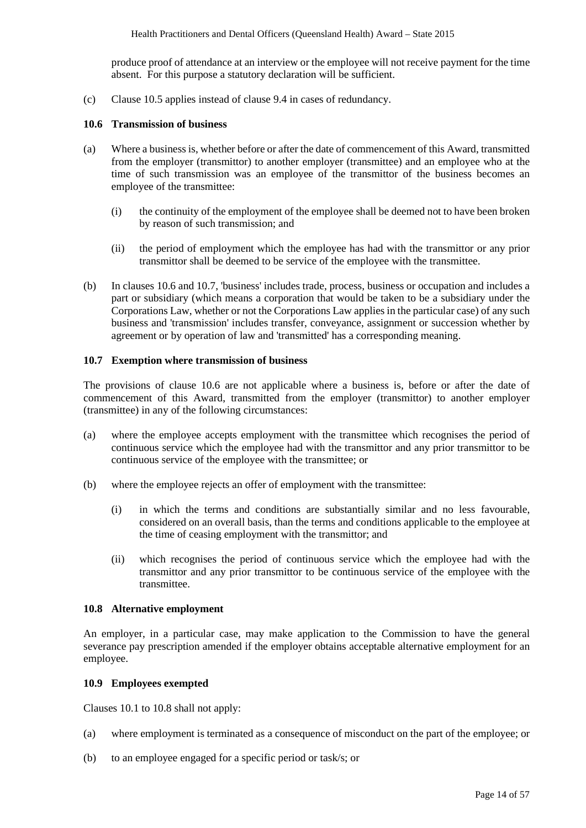produce proof of attendance at an interview or the employee will not receive payment for the time absent. For this purpose a statutory declaration will be sufficient.

(c) Clause 10.5 applies instead of clause 9.4 in cases of redundancy.

#### **10.6 Transmission of business**

- (a) Where a business is, whether before or after the date of commencement of this Award, transmitted from the employer (transmittor) to another employer (transmittee) and an employee who at the time of such transmission was an employee of the transmittor of the business becomes an employee of the transmittee:
	- (i) the continuity of the employment of the employee shall be deemed not to have been broken by reason of such transmission; and
	- (ii) the period of employment which the employee has had with the transmittor or any prior transmittor shall be deemed to be service of the employee with the transmittee.
- (b) In clauses 10.6 and 10.7, 'business' includes trade, process, business or occupation and includes a part or subsidiary (which means a corporation that would be taken to be a subsidiary under the Corporations Law, whether or not the Corporations Law applies in the particular case) of any such business and 'transmission' includes transfer, conveyance, assignment or succession whether by agreement or by operation of law and 'transmitted' has a corresponding meaning.

#### **10.7 Exemption where transmission of business**

The provisions of clause 10.6 are not applicable where a business is, before or after the date of commencement of this Award, transmitted from the employer (transmittor) to another employer (transmittee) in any of the following circumstances:

- (a) where the employee accepts employment with the transmittee which recognises the period of continuous service which the employee had with the transmittor and any prior transmittor to be continuous service of the employee with the transmittee; or
- (b) where the employee rejects an offer of employment with the transmittee:
	- (i) in which the terms and conditions are substantially similar and no less favourable, considered on an overall basis, than the terms and conditions applicable to the employee at the time of ceasing employment with the transmittor; and
	- (ii) which recognises the period of continuous service which the employee had with the transmittor and any prior transmittor to be continuous service of the employee with the transmittee.

#### **10.8 Alternative employment**

An employer, in a particular case, may make application to the Commission to have the general severance pay prescription amended if the employer obtains acceptable alternative employment for an employee.

#### **10.9 Employees exempted**

Clauses 10.1 to 10.8 shall not apply:

- (a) where employment is terminated as a consequence of misconduct on the part of the employee; or
- (b) to an employee engaged for a specific period or task/s; or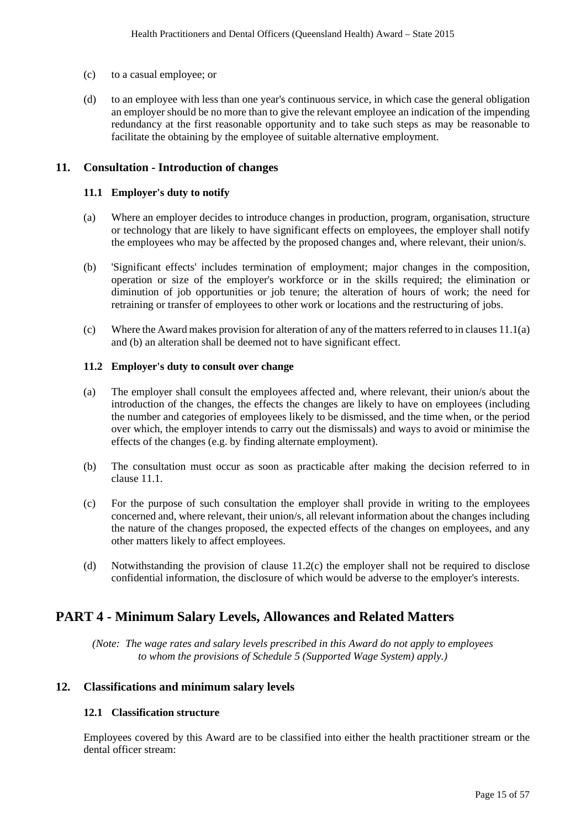- (c) to a casual employee; or
- (d) to an employee with less than one year's continuous service, in which case the general obligation an employer should be no more than to give the relevant employee an indication of the impending redundancy at the first reasonable opportunity and to take such steps as may be reasonable to facilitate the obtaining by the employee of suitable alternative employment.

### **11. Consultation - Introduction of changes**

#### **11.1 Employer's duty to notify**

- (a) Where an employer decides to introduce changes in production, program, organisation, structure or technology that are likely to have significant effects on employees, the employer shall notify the employees who may be affected by the proposed changes and, where relevant, their union/s.
- (b) 'Significant effects' includes termination of employment; major changes in the composition, operation or size of the employer's workforce or in the skills required; the elimination or diminution of job opportunities or job tenure; the alteration of hours of work; the need for retraining or transfer of employees to other work or locations and the restructuring of jobs.
- (c) Where the Award makes provision for alteration of any of the matters referred to in clauses 11.1(a) and (b) an alteration shall be deemed not to have significant effect.

#### **11.2 Employer's duty to consult over change**

- (a) The employer shall consult the employees affected and, where relevant, their union/s about the introduction of the changes, the effects the changes are likely to have on employees (including the number and categories of employees likely to be dismissed, and the time when, or the period over which, the employer intends to carry out the dismissals) and ways to avoid or minimise the effects of the changes (e.g. by finding alternate employment).
- (b) The consultation must occur as soon as practicable after making the decision referred to in clause 11.1.
- (c) For the purpose of such consultation the employer shall provide in writing to the employees concerned and, where relevant, their union/s, all relevant information about the changes including the nature of the changes proposed, the expected effects of the changes on employees, and any other matters likely to affect employees.
- (d) Notwithstanding the provision of clause 11.2(c) the employer shall not be required to disclose confidential information, the disclosure of which would be adverse to the employer's interests.

## **PART 4 - Minimum Salary Levels, Allowances and Related Matters**

*(Note: The wage rates and salary levels prescribed in this Award do not apply to employees to whom the provisions of Schedule 5 (Supported Wage System) apply.)*

## **12. Classifications and minimum salary levels**

#### **12.1 Classification structure**

Employees covered by this Award are to be classified into either the health practitioner stream or the dental officer stream: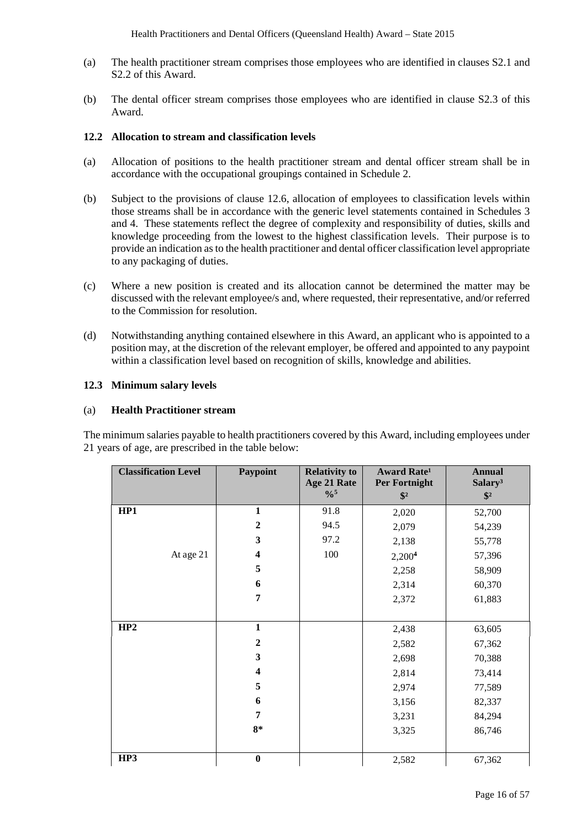- (a) The health practitioner stream comprises those employees who are identified in clauses S2.1 and S2.2 of this Award.
- (b) The dental officer stream comprises those employees who are identified in clause S2.3 of this Award.

#### **12.2 Allocation to stream and classification levels**

- (a) Allocation of positions to the health practitioner stream and dental officer stream shall be in accordance with the occupational groupings contained in Schedule 2.
- (b) Subject to the provisions of clause 12.6, allocation of employees to classification levels within those streams shall be in accordance with the generic level statements contained in Schedules 3 and 4. These statements reflect the degree of complexity and responsibility of duties, skills and knowledge proceeding from the lowest to the highest classification levels. Their purpose is to provide an indication as to the health practitioner and dental officer classification level appropriate to any packaging of duties.
- (c) Where a new position is created and its allocation cannot be determined the matter may be discussed with the relevant employee/s and, where requested, their representative, and/or referred to the Commission for resolution.
- (d) Notwithstanding anything contained elsewhere in this Award, an applicant who is appointed to a position may, at the discretion of the relevant employer, be offered and appointed to any paypoint within a classification level based on recognition of skills, knowledge and abilities.

#### **12.3 Minimum salary levels**

#### (a) **Health Practitioner stream**

The minimum salaries payable to health practitioners covered by this Award, including employees under 21 years of age, are prescribed in the table below:

| <b>Classification Level</b> | Paypoint                | <b>Relativity to</b><br>Age 21 Rate<br>$\frac{0}{0}$ <sup>5</sup> | <b>Award Rate<sup>1</sup></b><br><b>Per Fortnight</b><br>$\frac{1}{2}$ | <b>Annual</b><br>Salary <sup>3</sup><br>$\frac{1}{2}$ |
|-----------------------------|-------------------------|-------------------------------------------------------------------|------------------------------------------------------------------------|-------------------------------------------------------|
| HP1                         | $\mathbf{1}$            | 91.8                                                              | 2,020                                                                  | 52,700                                                |
|                             | $\boldsymbol{2}$        | 94.5                                                              | 2,079                                                                  | 54,239                                                |
|                             | 3                       | 97.2                                                              | 2,138                                                                  | 55,778                                                |
| At age 21                   | $\overline{\mathbf{4}}$ | 100                                                               | 2,200 <sup>4</sup>                                                     | 57,396                                                |
|                             | 5                       |                                                                   | 2,258                                                                  | 58,909                                                |
|                             | 6                       |                                                                   | 2,314                                                                  | 60,370                                                |
|                             | 7                       |                                                                   | 2,372                                                                  | 61,883                                                |
|                             |                         |                                                                   |                                                                        |                                                       |
| HP2                         | $\mathbf{1}$            |                                                                   | 2,438                                                                  | 63,605                                                |
|                             | $\boldsymbol{2}$        |                                                                   | 2,582                                                                  | 67,362                                                |
|                             | 3                       |                                                                   | 2,698                                                                  | 70,388                                                |
|                             | $\overline{\mathbf{4}}$ |                                                                   | 2,814                                                                  | 73,414                                                |
|                             | 5                       |                                                                   | 2,974                                                                  | 77,589                                                |
|                             | 6                       |                                                                   | 3,156                                                                  | 82,337                                                |
|                             | 7                       |                                                                   | 3,231                                                                  | 84,294                                                |
|                             | $8*$                    |                                                                   | 3,325                                                                  | 86,746                                                |
|                             |                         |                                                                   |                                                                        |                                                       |
| HP3                         | $\bf{0}$                |                                                                   | 2,582                                                                  | 67,362                                                |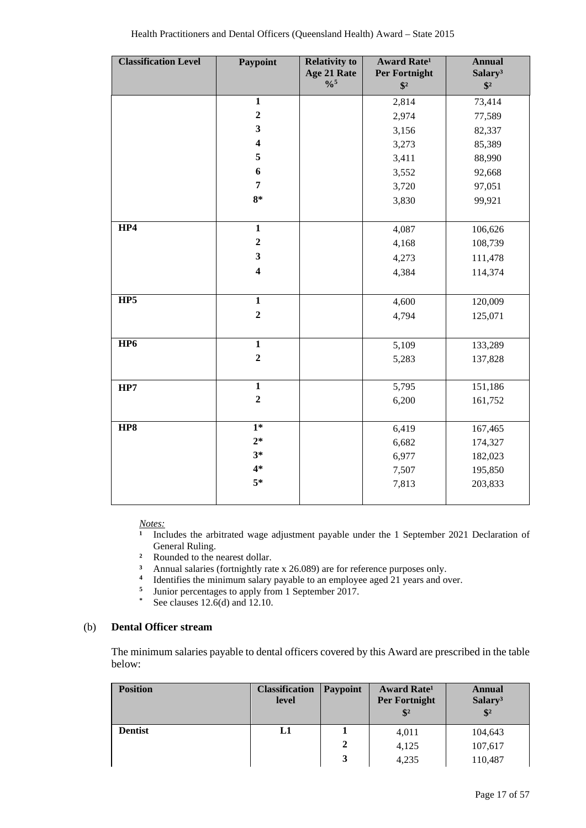| <b>Classification Level</b> | <b>Paypoint</b>         | <b>Relativity to</b>                      | <b>Award Rate<sup>1</sup></b>  | <b>Annual</b>                        |
|-----------------------------|-------------------------|-------------------------------------------|--------------------------------|--------------------------------------|
|                             |                         | Age 21 Rate<br>$\frac{0}{0}$ <sup>5</sup> | Per Fortnight<br>$\sqrt[6]{3}$ | Salary <sup>3</sup><br>$\sqrt[6]{2}$ |
|                             | $\mathbf{1}$            |                                           | 2,814                          | 73,414                               |
|                             | $\overline{2}$          |                                           |                                | 77,589                               |
|                             | 3                       |                                           | 2,974                          |                                      |
|                             | $\overline{\mathbf{4}}$ |                                           | 3,156                          | 82,337                               |
|                             | 5                       |                                           | 3,273                          | 85,389                               |
|                             |                         |                                           | 3,411                          | 88,990                               |
|                             | 6                       |                                           | 3,552                          | 92,668                               |
|                             | $\overline{7}$          |                                           | 3,720                          | 97,051                               |
|                             | $8*$                    |                                           | 3,830                          | 99,921                               |
|                             |                         |                                           |                                |                                      |
| HP4                         | $\mathbf{1}$            |                                           | 4,087                          | 106,626                              |
|                             | $\mathbf{2}$            |                                           | 4,168                          | 108,739                              |
|                             | 3                       |                                           | 4,273                          | 111,478                              |
|                             | $\overline{\mathbf{4}}$ |                                           | 4,384                          | 114,374                              |
|                             |                         |                                           |                                |                                      |
| HP5                         | $\mathbf{1}$            |                                           | 4,600                          | 120,009                              |
|                             | $\overline{2}$          |                                           | 4,794                          | 125,071                              |
|                             |                         |                                           |                                |                                      |
| HP <sub>6</sub>             | $\mathbf{1}$            |                                           | 5,109                          | 133,289                              |
|                             | $\boldsymbol{2}$        |                                           | 5,283                          | 137,828                              |
|                             |                         |                                           |                                |                                      |
| HP7                         | $\mathbf{1}$            |                                           | 5,795                          | 151,186                              |
|                             | $\overline{2}$          |                                           | 6,200                          | 161,752                              |
|                             |                         |                                           |                                |                                      |
| HP8                         | $1*$                    |                                           | 6,419                          | 167,465                              |
|                             | $2*$                    |                                           | 6,682                          | 174,327                              |
|                             | $3*$                    |                                           | 6,977                          | 182,023                              |
|                             | $4*$                    |                                           | 7,507                          | 195,850                              |
|                             | $5*$                    |                                           | 7,813                          | 203,833                              |
|                             |                         |                                           |                                |                                      |

*Notes:*

**¹** Includes the arbitrated wage adjustment payable under the 1 September 2021 Declaration of General Ruling.

- <sup>2</sup> Rounded to the nearest dollar.<br><sup>3</sup> Annual salaries (fortnightly rat
- <sup>3</sup> Annual salaries (fortnightly rate x 26.089) are for reference purposes only.<br><sup>4</sup> Identifies the minimum salary payable to an employee aged 21 years and only
- <sup>4</sup> Identifies the minimum salary payable to an employee aged 21 years and over.<br><sup>5</sup> Iunior percentages to apply from 1 September 2017
- <sup>5</sup> Junior percentages to apply from 1 September 2017.
- **\*** See clauses 12.6(d) and 12.10.

## (b) **Dental Officer stream**

The minimum salaries payable to dental officers covered by this Award are prescribed in the table below:

| <b>Position</b> | <b>Classification</b><br>level | <b>Paypoint</b> | <b>Award Rate<sup>1</sup></b><br><b>Per Fortnight</b><br>$\frac{1}{2}$ | <b>Annual</b><br>Salary <sup>3</sup><br>$\frac{1}{2}$ |
|-----------------|--------------------------------|-----------------|------------------------------------------------------------------------|-------------------------------------------------------|
| <b>Dentist</b>  | L1                             |                 | 4,011                                                                  | 104,643                                               |
|                 |                                | 2               | 4,125                                                                  | 107,617                                               |
|                 |                                | 3               | 4,235                                                                  | 110,487                                               |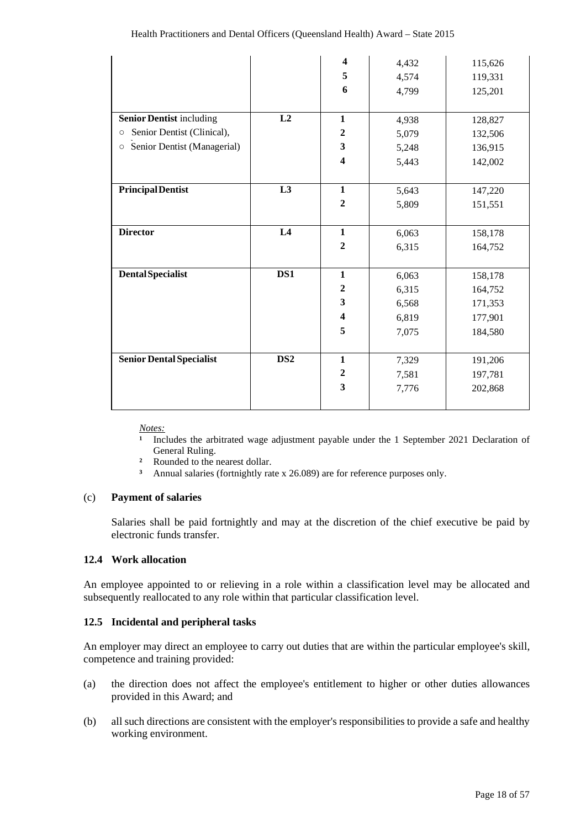|                                        |                 | $\overline{\mathbf{4}}$ | 4,432 | 115,626 |
|----------------------------------------|-----------------|-------------------------|-------|---------|
|                                        |                 | 5                       | 4,574 | 119,331 |
|                                        |                 | 6                       | 4,799 | 125,201 |
|                                        |                 |                         |       |         |
| <b>Senior Dentist including</b>        | L2              | $\mathbf{1}$            | 4,938 | 128,827 |
| Senior Dentist (Clinical),<br>$\circ$  |                 | $\overline{2}$          | 5,079 | 132,506 |
| Senior Dentist (Managerial)<br>$\circ$ |                 | 3                       | 5,248 | 136,915 |
|                                        |                 | $\overline{\mathbf{4}}$ | 5,443 | 142,002 |
|                                        |                 |                         |       |         |
| <b>PrincipalDentist</b>                | L3              | $\mathbf{1}$            | 5,643 | 147,220 |
|                                        |                 | $\boldsymbol{2}$        | 5,809 | 151,551 |
|                                        |                 |                         |       |         |
| <b>Director</b>                        | $\overline{L4}$ | $\mathbf{1}$            | 6,063 | 158,178 |
|                                        |                 | $\overline{2}$          | 6,315 | 164,752 |
|                                        |                 |                         |       |         |
| <b>Dental Specialist</b>               | DS1             | $\mathbf{1}$            | 6,063 | 158,178 |
|                                        |                 | $\boldsymbol{2}$        | 6,315 | 164,752 |
|                                        |                 | $\mathbf{3}$            | 6,568 | 171,353 |
|                                        |                 | $\overline{\mathbf{4}}$ | 6,819 | 177,901 |
|                                        |                 | 5                       | 7,075 | 184,580 |
|                                        |                 |                         |       |         |
| <b>Senior Dental Specialist</b>        | DS <sub>2</sub> | $\mathbf{1}$            | 7,329 | 191,206 |
|                                        |                 | $\mathbf{2}$            | 7,581 | 197,781 |
|                                        |                 | $\overline{\mathbf{3}}$ | 7,776 | 202,868 |
|                                        |                 |                         |       |         |

*Notes:*

**¹** Includes the arbitrated wage adjustment payable under the 1 September 2021 Declaration of General Ruling.

- **²** Rounded to the nearest dollar.
- **³** Annual salaries (fortnightly rate x 26.089) are for reference purposes only.

#### (c) **Payment of salaries**

Salaries shall be paid fortnightly and may at the discretion of the chief executive be paid by electronic funds transfer.

#### **12.4 Work allocation**

An employee appointed to or relieving in a role within a classification level may be allocated and subsequently reallocated to any role within that particular classification level.

#### **12.5 Incidental and peripheral tasks**

An employer may direct an employee to carry out duties that are within the particular employee's skill, competence and training provided:

- (a) the direction does not affect the employee's entitlement to higher or other duties allowances provided in this Award; and
- (b) all such directions are consistent with the employer's responsibilities to provide a safe and healthy working environment.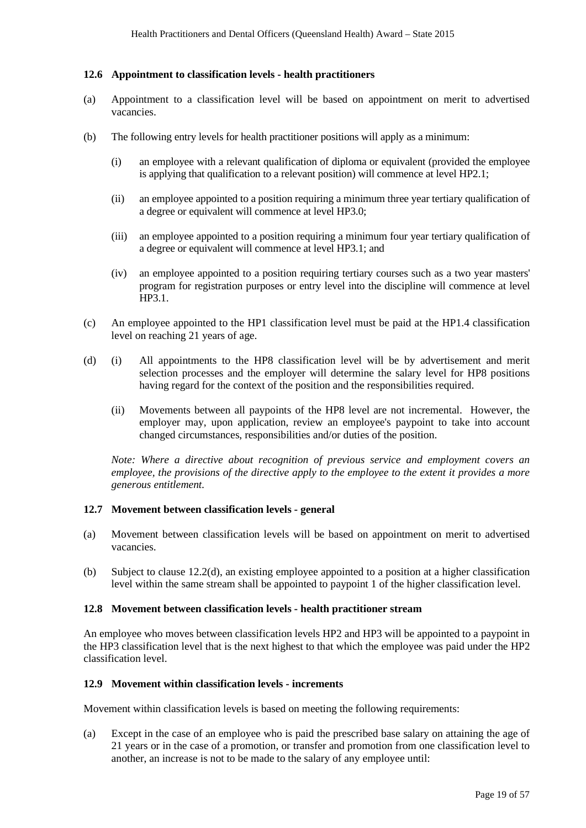#### **12.6 Appointment to classification levels - health practitioners**

- (a) Appointment to a classification level will be based on appointment on merit to advertised vacancies.
- (b) The following entry levels for health practitioner positions will apply as a minimum:
	- (i) an employee with a relevant qualification of diploma or equivalent (provided the employee is applying that qualification to a relevant position) will commence at level HP2.1;
	- (ii) an employee appointed to a position requiring a minimum three year tertiary qualification of a degree or equivalent will commence at level HP3.0;
	- (iii) an employee appointed to a position requiring a minimum four year tertiary qualification of a degree or equivalent will commence at level HP3.1; and
	- (iv) an employee appointed to a position requiring tertiary courses such as a two year masters' program for registration purposes or entry level into the discipline will commence at level HP3.1.
- (c) An employee appointed to the HP1 classification level must be paid at the HP1.4 classification level on reaching 21 years of age.
- (d) (i) All appointments to the HP8 classification level will be by advertisement and merit selection processes and the employer will determine the salary level for HP8 positions having regard for the context of the position and the responsibilities required.
	- (ii) Movements between all paypoints of the HP8 level are not incremental. However, the employer may, upon application, review an employee's paypoint to take into account changed circumstances, responsibilities and/or duties of the position.

*Note: Where a directive about recognition of previous service and employment covers an employee, the provisions of the directive apply to the employee to the extent it provides a more generous entitlement.*

#### **12.7 Movement between classification levels - general**

- (a) Movement between classification levels will be based on appointment on merit to advertised vacancies.
- (b) Subject to clause 12.2(d), an existing employee appointed to a position at a higher classification level within the same stream shall be appointed to paypoint 1 of the higher classification level.

#### **12.8 Movement between classification levels - health practitioner stream**

An employee who moves between classification levels HP2 and HP3 will be appointed to a paypoint in the HP3 classification level that is the next highest to that which the employee was paid under the HP2 classification level.

#### **12.9 Movement within classification levels - increments**

Movement within classification levels is based on meeting the following requirements:

(a) Except in the case of an employee who is paid the prescribed base salary on attaining the age of 21 years or in the case of a promotion, or transfer and promotion from one classification level to another, an increase is not to be made to the salary of any employee until: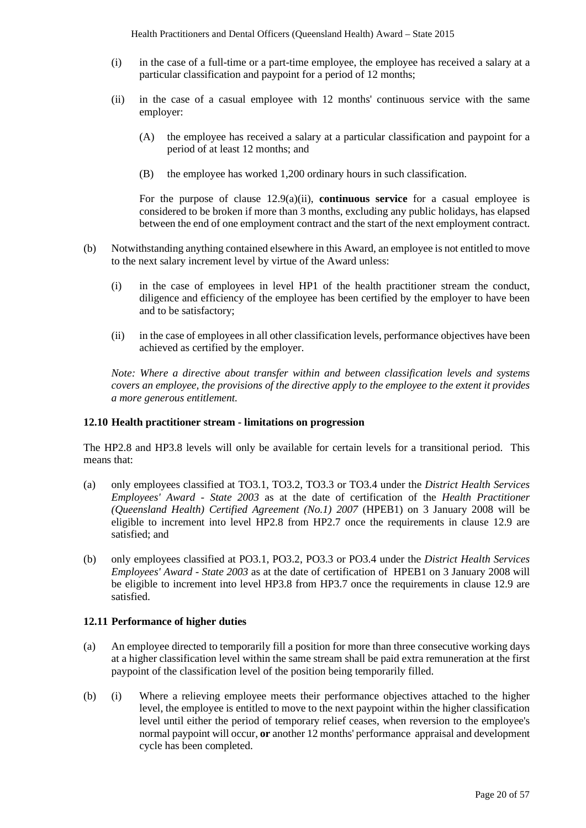- (i) in the case of a full-time or a part-time employee, the employee has received a salary at a particular classification and paypoint for a period of 12 months;
- (ii) in the case of a casual employee with 12 months' continuous service with the same employer:
	- (A) the employee has received a salary at a particular classification and paypoint for a period of at least 12 months; and
	- (B) the employee has worked 1,200 ordinary hours in such classification.

For the purpose of clause 12.9(a)(ii), **continuous service** for a casual employee is considered to be broken if more than 3 months, excluding any public holidays, has elapsed between the end of one employment contract and the start of the next employment contract.

- (b) Notwithstanding anything contained elsewhere in this Award, an employee is not entitled to move to the next salary increment level by virtue of the Award unless:
	- (i) in the case of employees in level HP1 of the health practitioner stream the conduct, diligence and efficiency of the employee has been certified by the employer to have been and to be satisfactory;
	- (ii) in the case of employees in all other classification levels, performance objectives have been achieved as certified by the employer.

*Note: Where a directive about transfer within and between classification levels and systems covers an employee, the provisions of the directive apply to the employee to the extent it provides a more generous entitlement.*

#### **12.10 Health practitioner stream - limitations on progression**

The HP2.8 and HP3.8 levels will only be available for certain levels for a transitional period. This means that:

- (a) only employees classified at TO3.1, TO3.2, TO3.3 or TO3.4 under the *District Health Services Employees' Award - State 2003* as at the date of certification of the *Health Practitioner (Queensland Health) Certified Agreement (No.1) 2007* (HPEB1) on 3 January 2008 will be eligible to increment into level HP2.8 from HP2.7 once the requirements in clause 12.9 are satisfied; and
- (b) only employees classified at PO3.1, PO3.2, PO3.3 or PO3.4 under the *District Health Services Employees' Award - State 2003* as at the date of certification of HPEB1 on 3 January 2008 will be eligible to increment into level HP3.8 from HP3.7 once the requirements in clause 12.9 are satisfied.

## **12.11 Performance of higher duties**

- (a) An employee directed to temporarily fill a position for more than three consecutive working days at a higher classification level within the same stream shall be paid extra remuneration at the first paypoint of the classification level of the position being temporarily filled.
- (b) (i) Where a relieving employee meets their performance objectives attached to the higher level, the employee is entitled to move to the next paypoint within the higher classification level until either the period of temporary relief ceases, when reversion to the employee's normal paypoint will occur, **or** another 12 months' performance appraisal and development cycle has been completed.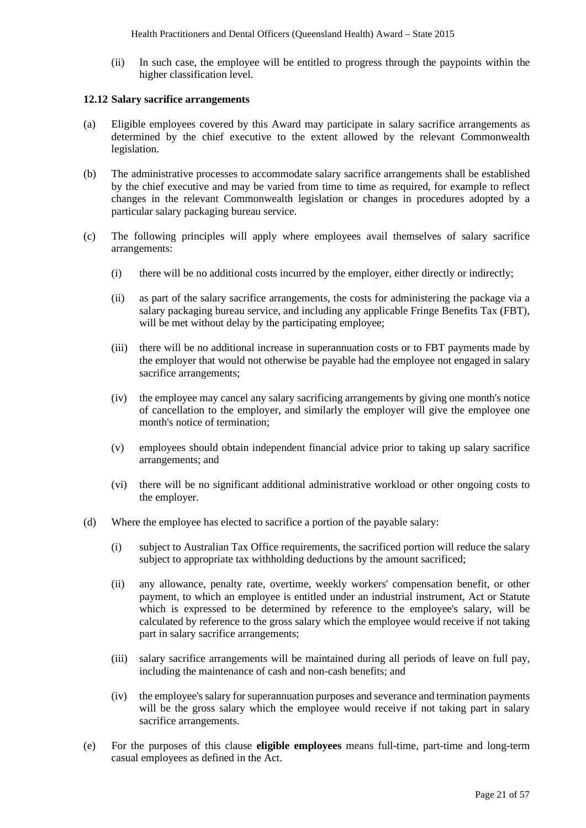(ii) In such case, the employee will be entitled to progress through the paypoints within the higher classification level.

#### **12.12 Salary sacrifice arrangements**

- (a) Eligible employees covered by this Award may participate in salary sacrifice arrangements as determined by the chief executive to the extent allowed by the relevant Commonwealth legislation.
- (b) The administrative processes to accommodate salary sacrifice arrangements shall be established by the chief executive and may be varied from time to time as required, for example to reflect changes in the relevant Commonwealth legislation or changes in procedures adopted by a particular salary packaging bureau service.
- (c) The following principles will apply where employees avail themselves of salary sacrifice arrangements:
	- (i) there will be no additional costs incurred by the employer, either directly or indirectly;
	- (ii) as part of the salary sacrifice arrangements, the costs for administering the package via a salary packaging bureau service, and including any applicable Fringe Benefits Tax (FBT), will be met without delay by the participating employee;
	- (iii) there will be no additional increase in superannuation costs or to FBT payments made by the employer that would not otherwise be payable had the employee not engaged in salary sacrifice arrangements;
	- (iv) the employee may cancel any salary sacrificing arrangements by giving one month's notice of cancellation to the employer, and similarly the employer will give the employee one month's notice of termination;
	- (v) employees should obtain independent financial advice prior to taking up salary sacrifice arrangements; and
	- (vi) there will be no significant additional administrative workload or other ongoing costs to the employer.
- (d) Where the employee has elected to sacrifice a portion of the payable salary:
	- (i) subject to Australian Tax Office requirements, the sacrificed portion will reduce the salary subject to appropriate tax withholding deductions by the amount sacrificed;
	- (ii) any allowance, penalty rate, overtime, weekly workers' compensation benefit, or other payment, to which an employee is entitled under an industrial instrument, Act or Statute which is expressed to be determined by reference to the employee's salary, will be calculated by reference to the gross salary which the employee would receive if not taking part in salary sacrifice arrangements;
	- (iii) salary sacrifice arrangements will be maintained during all periods of leave on full pay, including the maintenance of cash and non-cash benefits; and
	- (iv) the employee's salary for superannuation purposes and severance and termination payments will be the gross salary which the employee would receive if not taking part in salary sacrifice arrangements.
- (e) For the purposes of this clause **eligible employees** means full-time, part-time and long-term casual employees as defined in the Act.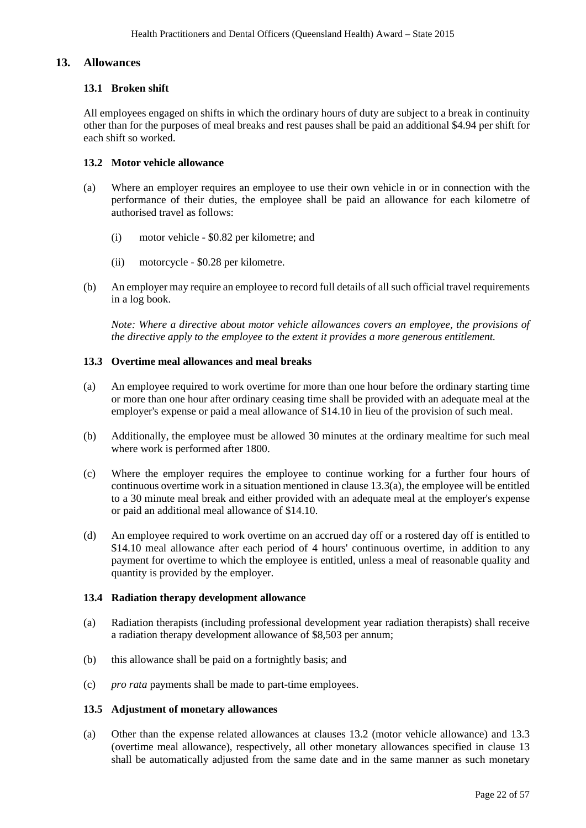#### **13. Allowances**

#### **13.1 Broken shift**

All employees engaged on shifts in which the ordinary hours of duty are subject to a break in continuity other than for the purposes of meal breaks and rest pauses shall be paid an additional \$4.94 per shift for each shift so worked.

#### **13.2 Motor vehicle allowance**

- (a) Where an employer requires an employee to use their own vehicle in or in connection with the performance of their duties, the employee shall be paid an allowance for each kilometre of authorised travel as follows:
	- (i) motor vehicle \$0.82 per kilometre; and
	- (ii) motorcycle \$0.28 per kilometre.
- (b) An employer may require an employee to record full details of all such official travel requirements in a log book.

*Note: Where a directive about motor vehicle allowances covers an employee, the provisions of the directive apply to the employee to the extent it provides a more generous entitlement.*

### **13.3 Overtime meal allowances and meal breaks**

- (a) An employee required to work overtime for more than one hour before the ordinary starting time or more than one hour after ordinary ceasing time shall be provided with an adequate meal at the employer's expense or paid a meal allowance of \$14.10 in lieu of the provision of such meal.
- (b) Additionally, the employee must be allowed 30 minutes at the ordinary mealtime for such meal where work is performed after 1800.
- (c) Where the employer requires the employee to continue working for a further four hours of continuous overtime work in a situation mentioned in clause 13.3(a), the employee will be entitled to a 30 minute meal break and either provided with an adequate meal at the employer's expense or paid an additional meal allowance of \$14.10.
- (d) An employee required to work overtime on an accrued day off or a rostered day off is entitled to \$14.10 meal allowance after each period of 4 hours' continuous overtime, in addition to any payment for overtime to which the employee is entitled, unless a meal of reasonable quality and quantity is provided by the employer.

#### **13.4 Radiation therapy development allowance**

- (a) Radiation therapists (including professional development year radiation therapists) shall receive a radiation therapy development allowance of \$8,503 per annum;
- (b) this allowance shall be paid on a fortnightly basis; and
- (c) *pro rata* payments shall be made to part-time employees.

#### **13.5 Adjustment of monetary allowances**

(a) Other than the expense related allowances at clauses 13.2 (motor vehicle allowance) and 13.3 (overtime meal allowance), respectively, all other monetary allowances specified in clause 13 shall be automatically adjusted from the same date and in the same manner as such monetary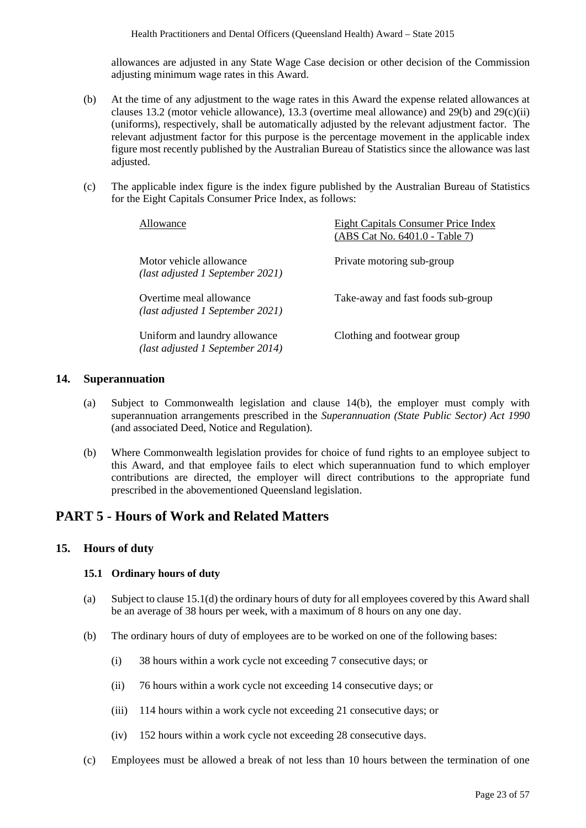allowances are adjusted in any State Wage Case decision or other decision of the Commission adjusting minimum wage rates in this Award.

- (b) At the time of any adjustment to the wage rates in this Award the expense related allowances at clauses 13.2 (motor vehicle allowance), 13.3 (overtime meal allowance) and 29(b) and 29(c)(ii) (uniforms), respectively, shall be automatically adjusted by the relevant adjustment factor. The relevant adjustment factor for this purpose is the percentage movement in the applicable index figure most recently published by the Australian Bureau of Statistics since the allowance was last adjusted.
- (c) The applicable index figure is the index figure published by the Australian Bureau of Statistics for the Eight Capitals Consumer Price Index, as follows:

| Allowance                                                         | <b>Eight Capitals Consumer Price Index</b><br>(ABS Cat No. 6401.0 - Table 7) |
|-------------------------------------------------------------------|------------------------------------------------------------------------------|
| Motor vehicle allowance<br>(last adjusted 1 September 2021)       | Private motoring sub-group                                                   |
| Overtime meal allowance<br>(last adjusted 1 September 2021)       | Take-away and fast foods sub-group                                           |
| Uniform and laundry allowance<br>(last adjusted 1 September 2014) | Clothing and footwear group                                                  |

#### **14. Superannuation**

- (a) Subject to Commonwealth legislation and clause 14(b), the employer must comply with superannuation arrangements prescribed in the *Superannuation (State Public Sector) Act 1990* (and associated Deed, Notice and Regulation).
- (b) Where Commonwealth legislation provides for choice of fund rights to an employee subject to this Award, and that employee fails to elect which superannuation fund to which employer contributions are directed, the employer will direct contributions to the appropriate fund prescribed in the abovementioned Queensland legislation.

## **PART 5 - Hours of Work and Related Matters**

#### **15. Hours of duty**

## **15.1 Ordinary hours of duty**

- (a) Subject to clause 15.1(d) the ordinary hours of duty for all employees covered by this Award shall be an average of 38 hours per week, with a maximum of 8 hours on any one day.
- (b) The ordinary hours of duty of employees are to be worked on one of the following bases:
	- (i) 38 hours within a work cycle not exceeding 7 consecutive days; or
	- (ii) 76 hours within a work cycle not exceeding 14 consecutive days; or
	- (iii) 114 hours within a work cycle not exceeding 21 consecutive days; or
	- (iv) 152 hours within a work cycle not exceeding 28 consecutive days.
- (c) Employees must be allowed a break of not less than 10 hours between the termination of one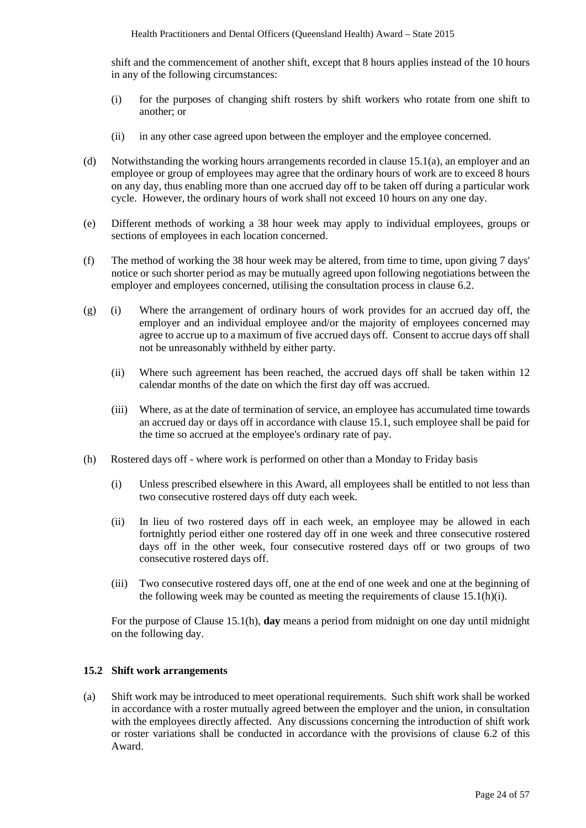shift and the commencement of another shift, except that 8 hours applies instead of the 10 hours in any of the following circumstances:

- (i) for the purposes of changing shift rosters by shift workers who rotate from one shift to another; or
- (ii) in any other case agreed upon between the employer and the employee concerned.
- (d) Notwithstanding the working hours arrangements recorded in clause 15.1(a), an employer and an employee or group of employees may agree that the ordinary hours of work are to exceed 8 hours on any day, thus enabling more than one accrued day off to be taken off during a particular work cycle. However, the ordinary hours of work shall not exceed 10 hours on any one day.
- (e) Different methods of working a 38 hour week may apply to individual employees, groups or sections of employees in each location concerned.
- (f) The method of working the 38 hour week may be altered, from time to time, upon giving 7 days' notice or such shorter period as may be mutually agreed upon following negotiations between the employer and employees concerned, utilising the consultation process in clause 6.2.
- (g) (i) Where the arrangement of ordinary hours of work provides for an accrued day off, the employer and an individual employee and/or the majority of employees concerned may agree to accrue up to a maximum of five accrued days off. Consent to accrue days off shall not be unreasonably withheld by either party.
	- (ii) Where such agreement has been reached, the accrued days off shall be taken within 12 calendar months of the date on which the first day off was accrued.
	- (iii) Where, as at the date of termination of service, an employee has accumulated time towards an accrued day or days off in accordance with clause 15.1, such employee shall be paid for the time so accrued at the employee's ordinary rate of pay.
- (h) Rostered days off where work is performed on other than a Monday to Friday basis
	- (i) Unless prescribed elsewhere in this Award, all employees shall be entitled to not less than two consecutive rostered days off duty each week.
	- (ii) In lieu of two rostered days off in each week, an employee may be allowed in each fortnightly period either one rostered day off in one week and three consecutive rostered days off in the other week, four consecutive rostered days off or two groups of two consecutive rostered days off.
	- (iii) Two consecutive rostered days off, one at the end of one week and one at the beginning of the following week may be counted as meeting the requirements of clause 15.1(h)(i).

For the purpose of Clause 15.1(h), **day** means a period from midnight on one day until midnight on the following day.

#### **15.2 Shift work arrangements**

(a) Shift work may be introduced to meet operational requirements. Such shift work shall be worked in accordance with a roster mutually agreed between the employer and the union, in consultation with the employees directly affected. Any discussions concerning the introduction of shift work or roster variations shall be conducted in accordance with the provisions of clause 6.2 of this Award.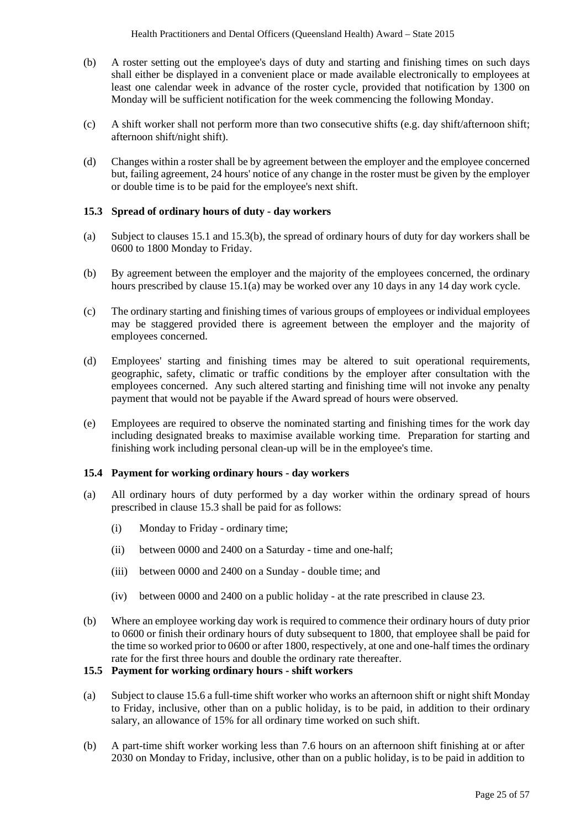- (b) A roster setting out the employee's days of duty and starting and finishing times on such days shall either be displayed in a convenient place or made available electronically to employees at least one calendar week in advance of the roster cycle, provided that notification by 1300 on Monday will be sufficient notification for the week commencing the following Monday.
- (c) A shift worker shall not perform more than two consecutive shifts (e.g. day shift/afternoon shift; afternoon shift/night shift).
- (d) Changes within a roster shall be by agreement between the employer and the employee concerned but, failing agreement, 24 hours' notice of any change in the roster must be given by the employer or double time is to be paid for the employee's next shift.

#### **15.3 Spread of ordinary hours of duty - day workers**

- (a) Subject to clauses 15.1 and 15.3(b), the spread of ordinary hours of duty for day workers shall be 0600 to 1800 Monday to Friday.
- (b) By agreement between the employer and the majority of the employees concerned, the ordinary hours prescribed by clause 15.1(a) may be worked over any 10 days in any 14 day work cycle.
- (c) The ordinary starting and finishing times of various groups of employees or individual employees may be staggered provided there is agreement between the employer and the majority of employees concerned.
- (d) Employees' starting and finishing times may be altered to suit operational requirements, geographic, safety, climatic or traffic conditions by the employer after consultation with the employees concerned. Any such altered starting and finishing time will not invoke any penalty payment that would not be payable if the Award spread of hours were observed.
- (e) Employees are required to observe the nominated starting and finishing times for the work day including designated breaks to maximise available working time. Preparation for starting and finishing work including personal clean-up will be in the employee's time.

#### **15.4 Payment for working ordinary hours - day workers**

- (a) All ordinary hours of duty performed by a day worker within the ordinary spread of hours prescribed in clause 15.3 shall be paid for as follows:
	- (i) Monday to Friday ordinary time;
	- (ii) between 0000 and 2400 on a Saturday time and one-half;
	- (iii) between 0000 and 2400 on a Sunday double time; and
	- (iv) between 0000 and 2400 on a public holiday at the rate prescribed in clause 23.
- (b) Where an employee working day work is required to commence their ordinary hours of duty prior to 0600 or finish their ordinary hours of duty subsequent to 1800, that employee shall be paid for the time so worked prior to 0600 or after 1800, respectively, at one and one-half times the ordinary rate for the first three hours and double the ordinary rate thereafter.

## **15.5 Payment for working ordinary hours - shift workers**

- (a) Subject to clause 15.6 a full-time shift worker who works an afternoon shift or night shift Monday to Friday, inclusive, other than on a public holiday, is to be paid, in addition to their ordinary salary, an allowance of 15% for all ordinary time worked on such shift.
- (b) A part-time shift worker working less than 7.6 hours on an afternoon shift finishing at or after 2030 on Monday to Friday, inclusive, other than on a public holiday, is to be paid in addition to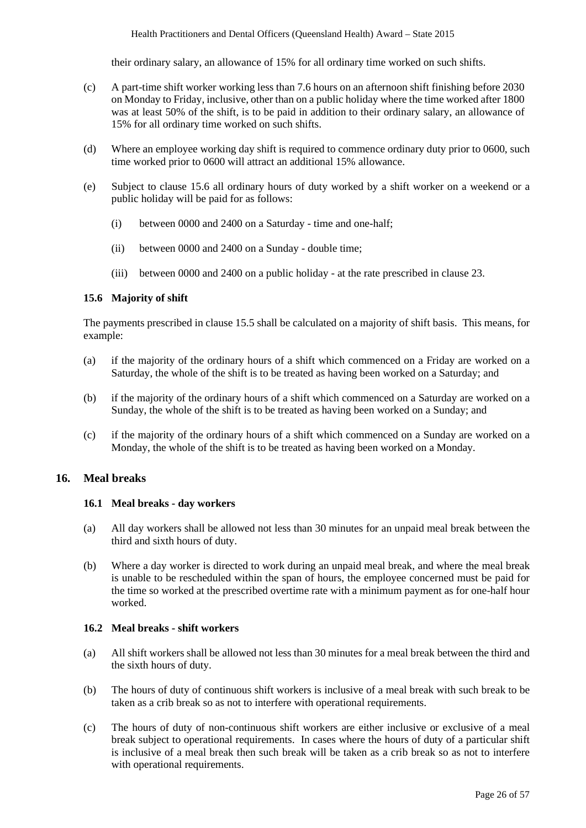their ordinary salary, an allowance of 15% for all ordinary time worked on such shifts.

- (c) A part-time shift worker working less than 7.6 hours on an afternoon shift finishing before 2030 on Monday to Friday, inclusive, other than on a public holiday where the time worked after 1800 was at least 50% of the shift, is to be paid in addition to their ordinary salary, an allowance of 15% for all ordinary time worked on such shifts.
- (d) Where an employee working day shift is required to commence ordinary duty prior to 0600, such time worked prior to 0600 will attract an additional 15% allowance.
- (e) Subject to clause 15.6 all ordinary hours of duty worked by a shift worker on a weekend or a public holiday will be paid for as follows:
	- (i) between 0000 and 2400 on a Saturday time and one-half;
	- (ii) between 0000 and 2400 on a Sunday double time;
	- (iii) between 0000 and 2400 on a public holiday at the rate prescribed in clause 23.

#### **15.6 Majority of shift**

The payments prescribed in clause 15.5 shall be calculated on a majority of shift basis. This means, for example:

- (a) if the majority of the ordinary hours of a shift which commenced on a Friday are worked on a Saturday, the whole of the shift is to be treated as having been worked on a Saturday; and
- (b) if the majority of the ordinary hours of a shift which commenced on a Saturday are worked on a Sunday, the whole of the shift is to be treated as having been worked on a Sunday; and
- (c) if the majority of the ordinary hours of a shift which commenced on a Sunday are worked on a Monday, the whole of the shift is to be treated as having been worked on a Monday.

### **16. Meal breaks**

#### **16.1 Meal breaks - day workers**

- (a) All day workers shall be allowed not less than 30 minutes for an unpaid meal break between the third and sixth hours of duty.
- (b) Where a day worker is directed to work during an unpaid meal break, and where the meal break is unable to be rescheduled within the span of hours, the employee concerned must be paid for the time so worked at the prescribed overtime rate with a minimum payment as for one-half hour worked.

#### **16.2 Meal breaks - shift workers**

- (a) All shift workers shall be allowed not less than 30 minutes for a meal break between the third and the sixth hours of duty.
- (b) The hours of duty of continuous shift workers is inclusive of a meal break with such break to be taken as a crib break so as not to interfere with operational requirements.
- (c) The hours of duty of non-continuous shift workers are either inclusive or exclusive of a meal break subject to operational requirements. In cases where the hours of duty of a particular shift is inclusive of a meal break then such break will be taken as a crib break so as not to interfere with operational requirements.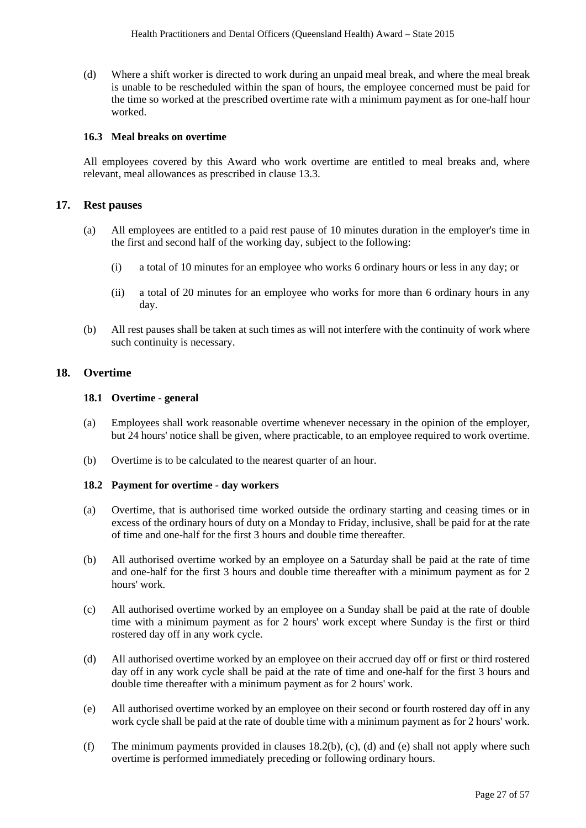(d) Where a shift worker is directed to work during an unpaid meal break, and where the meal break is unable to be rescheduled within the span of hours, the employee concerned must be paid for the time so worked at the prescribed overtime rate with a minimum payment as for one-half hour worked.

#### **16.3 Meal breaks on overtime**

All employees covered by this Award who work overtime are entitled to meal breaks and, where relevant, meal allowances as prescribed in clause 13.3.

#### **17. Rest pauses**

- (a) All employees are entitled to a paid rest pause of 10 minutes duration in the employer's time in the first and second half of the working day, subject to the following:
	- (i) a total of 10 minutes for an employee who works 6 ordinary hours or less in any day; or
	- (ii) a total of 20 minutes for an employee who works for more than 6 ordinary hours in any day.
- (b) All rest pauses shall be taken at such times as will not interfere with the continuity of work where such continuity is necessary.

#### **18. Overtime**

#### **18.1 Overtime - general**

- (a) Employees shall work reasonable overtime whenever necessary in the opinion of the employer, but 24 hours' notice shall be given, where practicable, to an employee required to work overtime.
- (b) Overtime is to be calculated to the nearest quarter of an hour.

#### **18.2 Payment for overtime - day workers**

- (a) Overtime, that is authorised time worked outside the ordinary starting and ceasing times or in excess of the ordinary hours of duty on a Monday to Friday, inclusive, shall be paid for at the rate of time and one-half for the first 3 hours and double time thereafter.
- (b) All authorised overtime worked by an employee on a Saturday shall be paid at the rate of time and one-half for the first 3 hours and double time thereafter with a minimum payment as for 2 hours' work.
- (c) All authorised overtime worked by an employee on a Sunday shall be paid at the rate of double time with a minimum payment as for 2 hours' work except where Sunday is the first or third rostered day off in any work cycle.
- (d) All authorised overtime worked by an employee on their accrued day off or first or third rostered day off in any work cycle shall be paid at the rate of time and one-half for the first 3 hours and double time thereafter with a minimum payment as for 2 hours' work.
- (e) All authorised overtime worked by an employee on their second or fourth rostered day off in any work cycle shall be paid at the rate of double time with a minimum payment as for 2 hours' work.
- (f) The minimum payments provided in clauses 18.2(b), (c), (d) and (e) shall not apply where such overtime is performed immediately preceding or following ordinary hours.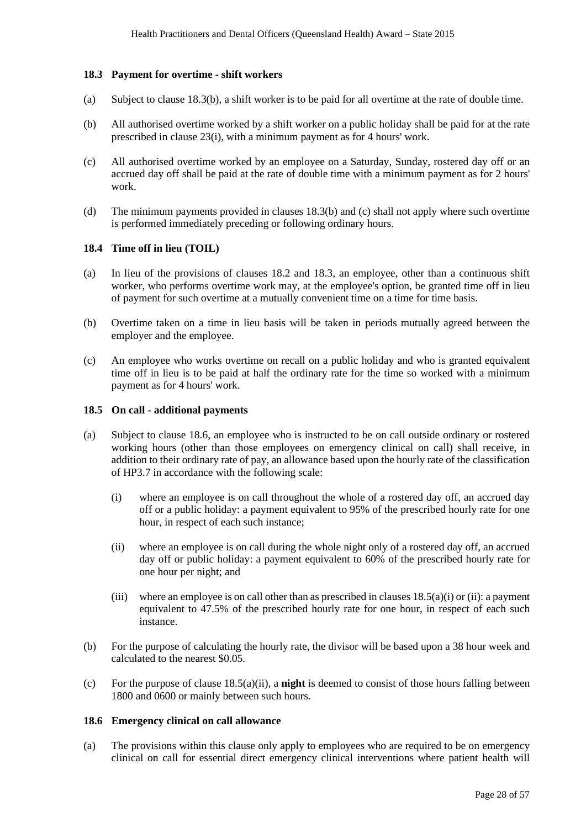#### **18.3 Payment for overtime - shift workers**

- (a) Subject to clause 18.3(b), a shift worker is to be paid for all overtime at the rate of double time.
- (b) All authorised overtime worked by a shift worker on a public holiday shall be paid for at the rate prescribed in clause 23(i), with a minimum payment as for 4 hours' work.
- (c) All authorised overtime worked by an employee on a Saturday, Sunday, rostered day off or an accrued day off shall be paid at the rate of double time with a minimum payment as for 2 hours' work.
- (d) The minimum payments provided in clauses 18.3(b) and (c) shall not apply where such overtime is performed immediately preceding or following ordinary hours.

#### **18.4 Time off in lieu (TOIL)**

- (a) In lieu of the provisions of clauses 18.2 and 18.3, an employee, other than a continuous shift worker, who performs overtime work may, at the employee's option, be granted time off in lieu of payment for such overtime at a mutually convenient time on a time for time basis.
- (b) Overtime taken on a time in lieu basis will be taken in periods mutually agreed between the employer and the employee.
- (c) An employee who works overtime on recall on a public holiday and who is granted equivalent time off in lieu is to be paid at half the ordinary rate for the time so worked with a minimum payment as for 4 hours' work.

#### **18.5 On call - additional payments**

- (a) Subject to clause 18.6, an employee who is instructed to be on call outside ordinary or rostered working hours (other than those employees on emergency clinical on call) shall receive, in addition to their ordinary rate of pay, an allowance based upon the hourly rate of the classification of HP3.7 in accordance with the following scale:
	- (i) where an employee is on call throughout the whole of a rostered day off, an accrued day off or a public holiday: a payment equivalent to 95% of the prescribed hourly rate for one hour, in respect of each such instance;
	- (ii) where an employee is on call during the whole night only of a rostered day off, an accrued day off or public holiday: a payment equivalent to 60% of the prescribed hourly rate for one hour per night; and
	- (iii) where an employee is on call other than as prescribed in clauses  $18.5(a)(i)$  or (ii): a payment equivalent to 47.5% of the prescribed hourly rate for one hour, in respect of each such instance.
- (b) For the purpose of calculating the hourly rate, the divisor will be based upon a 38 hour week and calculated to the nearest \$0.05.
- (c) For the purpose of clause 18.5(a)(ii), a **night** is deemed to consist of those hours falling between 1800 and 0600 or mainly between such hours.

#### **18.6 Emergency clinical on call allowance**

(a) The provisions within this clause only apply to employees who are required to be on emergency clinical on call for essential direct emergency clinical interventions where patient health will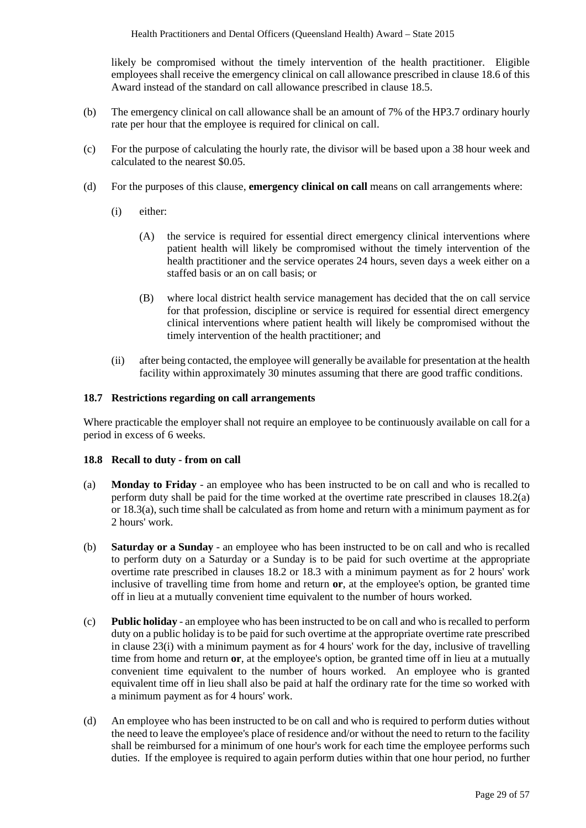likely be compromised without the timely intervention of the health practitioner. Eligible employees shall receive the emergency clinical on call allowance prescribed in clause 18.6 of this Award instead of the standard on call allowance prescribed in clause 18.5.

- (b) The emergency clinical on call allowance shall be an amount of 7% of the HP3.7 ordinary hourly rate per hour that the employee is required for clinical on call.
- (c) For the purpose of calculating the hourly rate, the divisor will be based upon a 38 hour week and calculated to the nearest \$0.05.
- (d) For the purposes of this clause, **emergency clinical on call** means on call arrangements where:
	- (i) either:
		- (A) the service is required for essential direct emergency clinical interventions where patient health will likely be compromised without the timely intervention of the health practitioner and the service operates 24 hours, seven days a week either on a staffed basis or an on call basis; or
		- (B) where local district health service management has decided that the on call service for that profession, discipline or service is required for essential direct emergency clinical interventions where patient health will likely be compromised without the timely intervention of the health practitioner; and
	- (ii) after being contacted, the employee will generally be available for presentation at the health facility within approximately 30 minutes assuming that there are good traffic conditions.

#### **18.7 Restrictions regarding on call arrangements**

Where practicable the employer shall not require an employee to be continuously available on call for a period in excess of 6 weeks.

#### **18.8 Recall to duty - from on call**

- (a) **Monday to Friday** an employee who has been instructed to be on call and who is recalled to perform duty shall be paid for the time worked at the overtime rate prescribed in clauses 18.2(a) or 18.3(a), such time shall be calculated as from home and return with a minimum payment as for 2 hours' work.
- (b) **Saturday or a Sunday** an employee who has been instructed to be on call and who is recalled to perform duty on a Saturday or a Sunday is to be paid for such overtime at the appropriate overtime rate prescribed in clauses 18.2 or 18.3 with a minimum payment as for 2 hours' work inclusive of travelling time from home and return **or**, at the employee's option, be granted time off in lieu at a mutually convenient time equivalent to the number of hours worked.
- (c) **Public holiday** an employee who has been instructed to be on call and who is recalled to perform duty on a public holiday is to be paid for such overtime at the appropriate overtime rate prescribed in clause 23(i) with a minimum payment as for 4 hours' work for the day, inclusive of travelling time from home and return **or**, at the employee's option, be granted time off in lieu at a mutually convenient time equivalent to the number of hours worked. An employee who is granted equivalent time off in lieu shall also be paid at half the ordinary rate for the time so worked with a minimum payment as for 4 hours' work.
- (d) An employee who has been instructed to be on call and who is required to perform duties without the need to leave the employee's place of residence and/or without the need to return to the facility shall be reimbursed for a minimum of one hour's work for each time the employee performs such duties. If the employee is required to again perform duties within that one hour period, no further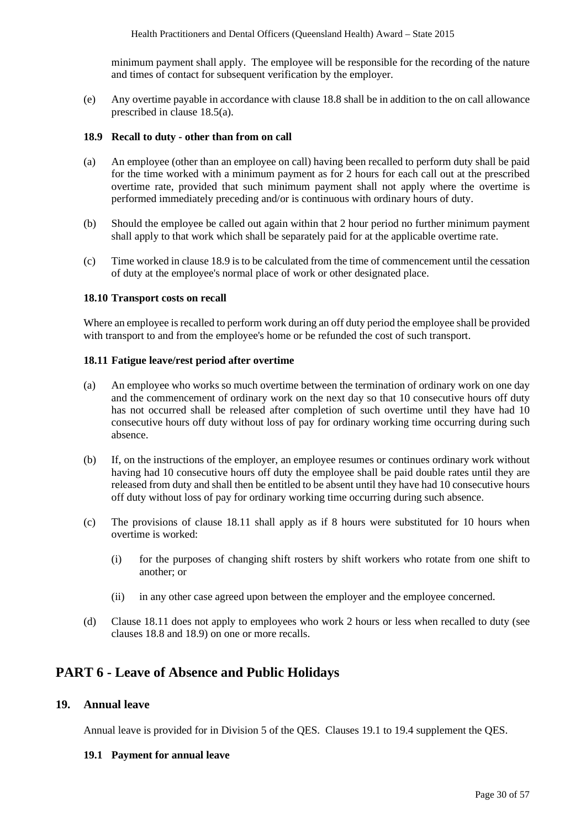minimum payment shall apply. The employee will be responsible for the recording of the nature and times of contact for subsequent verification by the employer.

(e) Any overtime payable in accordance with clause 18.8 shall be in addition to the on call allowance prescribed in clause 18.5(a).

#### **18.9 Recall to duty - other than from on call**

- (a) An employee (other than an employee on call) having been recalled to perform duty shall be paid for the time worked with a minimum payment as for 2 hours for each call out at the prescribed overtime rate, provided that such minimum payment shall not apply where the overtime is performed immediately preceding and/or is continuous with ordinary hours of duty.
- (b) Should the employee be called out again within that 2 hour period no further minimum payment shall apply to that work which shall be separately paid for at the applicable overtime rate.
- (c) Time worked in clause 18.9 is to be calculated from the time of commencement until the cessation of duty at the employee's normal place of work or other designated place.

#### **18.10 Transport costs on recall**

Where an employee is recalled to perform work during an off duty period the employee shall be provided with transport to and from the employee's home or be refunded the cost of such transport.

#### **18.11 Fatigue leave/rest period after overtime**

- (a) An employee who works so much overtime between the termination of ordinary work on one day and the commencement of ordinary work on the next day so that 10 consecutive hours off duty has not occurred shall be released after completion of such overtime until they have had 10 consecutive hours off duty without loss of pay for ordinary working time occurring during such absence.
- (b) If, on the instructions of the employer, an employee resumes or continues ordinary work without having had 10 consecutive hours off duty the employee shall be paid double rates until they are released from duty and shall then be entitled to be absent until they have had 10 consecutive hours off duty without loss of pay for ordinary working time occurring during such absence.
- (c) The provisions of clause 18.11 shall apply as if 8 hours were substituted for 10 hours when overtime is worked:
	- (i) for the purposes of changing shift rosters by shift workers who rotate from one shift to another; or
	- (ii) in any other case agreed upon between the employer and the employee concerned.
- (d) Clause 18.11 does not apply to employees who work 2 hours or less when recalled to duty (see clauses 18.8 and 18.9) on one or more recalls.

## **PART 6 - Leave of Absence and Public Holidays**

## **19. Annual leave**

Annual leave is provided for in Division 5 of the QES. Clauses 19.1 to 19.4 supplement the QES.

#### **19.1 Payment for annual leave**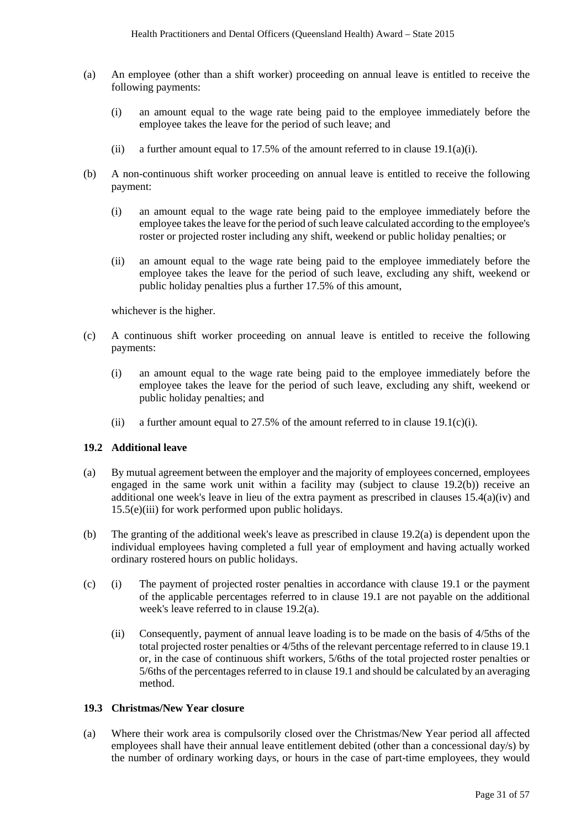- (a) An employee (other than a shift worker) proceeding on annual leave is entitled to receive the following payments:
	- (i) an amount equal to the wage rate being paid to the employee immediately before the employee takes the leave for the period of such leave; and
	- (ii) a further amount equal to 17.5% of the amount referred to in clause 19.1(a)(i).
- (b) A non-continuous shift worker proceeding on annual leave is entitled to receive the following payment:
	- (i) an amount equal to the wage rate being paid to the employee immediately before the employee takes the leave for the period of such leave calculated according to the employee's roster or projected roster including any shift, weekend or public holiday penalties; or
	- (ii) an amount equal to the wage rate being paid to the employee immediately before the employee takes the leave for the period of such leave, excluding any shift, weekend or public holiday penalties plus a further 17.5% of this amount,

whichever is the higher.

- (c) A continuous shift worker proceeding on annual leave is entitled to receive the following payments:
	- (i) an amount equal to the wage rate being paid to the employee immediately before the employee takes the leave for the period of such leave, excluding any shift, weekend or public holiday penalties; and
	- (ii) a further amount equal to 27.5% of the amount referred to in clause 19.1(c)(i).

#### **19.2 Additional leave**

- (a) By mutual agreement between the employer and the majority of employees concerned, employees engaged in the same work unit within a facility may (subject to clause 19.2(b)) receive an additional one week's leave in lieu of the extra payment as prescribed in clauses  $15.4(a)(iv)$  and 15.5(e)(iii) for work performed upon public holidays.
- (b) The granting of the additional week's leave as prescribed in clause 19.2(a) is dependent upon the individual employees having completed a full year of employment and having actually worked ordinary rostered hours on public holidays.
- (c) (i) The payment of projected roster penalties in accordance with clause 19.1 or the payment of the applicable percentages referred to in clause 19.1 are not payable on the additional week's leave referred to in clause 19.2(a).
	- (ii) Consequently, payment of annual leave loading is to be made on the basis of 4/5ths of the total projected roster penalties or 4/5ths of the relevant percentage referred to in clause 19.1 or, in the case of continuous shift workers, 5/6ths of the total projected roster penalties or 5/6ths of the percentages referred to in clause 19.1 and should be calculated by an averaging method.

#### **19.3 Christmas/New Year closure**

(a) Where their work area is compulsorily closed over the Christmas/New Year period all affected employees shall have their annual leave entitlement debited (other than a concessional day/s) by the number of ordinary working days, or hours in the case of part-time employees, they would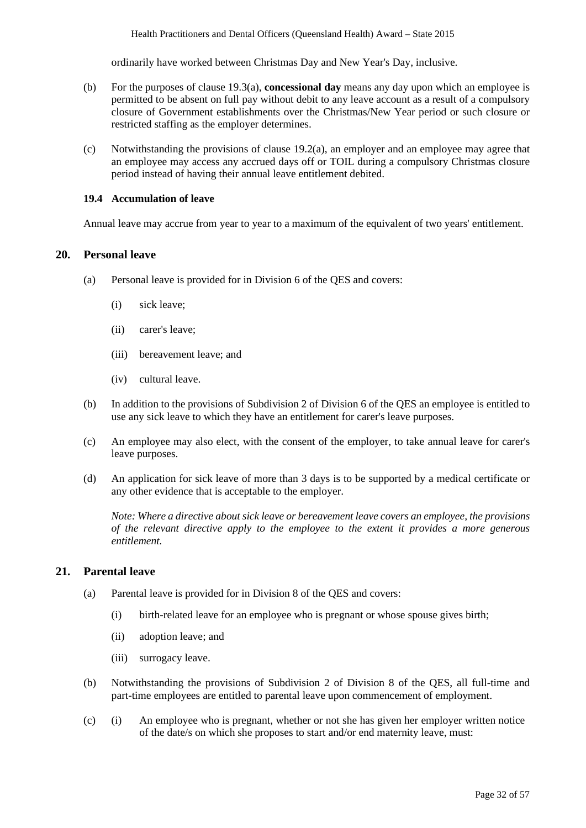ordinarily have worked between Christmas Day and New Year's Day, inclusive.

- (b) For the purposes of clause 19.3(a), **concessional day** means any day upon which an employee is permitted to be absent on full pay without debit to any leave account as a result of a compulsory closure of Government establishments over the Christmas/New Year period or such closure or restricted staffing as the employer determines.
- (c) Notwithstanding the provisions of clause 19.2(a), an employer and an employee may agree that an employee may access any accrued days off or TOIL during a compulsory Christmas closure period instead of having their annual leave entitlement debited.

#### **19.4 Accumulation of leave**

Annual leave may accrue from year to year to a maximum of the equivalent of two years' entitlement.

#### **20. Personal leave**

- (a) Personal leave is provided for in Division 6 of the QES and covers:
	- (i) sick leave;
	- (ii) carer's leave;
	- (iii) bereavement leave; and
	- (iv) cultural leave.
- (b) In addition to the provisions of Subdivision 2 of Division 6 of the QES an employee is entitled to use any sick leave to which they have an entitlement for carer's leave purposes.
- (c) An employee may also elect, with the consent of the employer, to take annual leave for carer's leave purposes.
- (d) An application for sick leave of more than 3 days is to be supported by a medical certificate or any other evidence that is acceptable to the employer.

*Note: Where a directive about sick leave or bereavement leave covers an employee, the provisions of the relevant directive apply to the employee to the extent it provides a more generous entitlement.* 

#### **21. Parental leave**

- (a) Parental leave is provided for in Division 8 of the QES and covers:
	- (i) birth-related leave for an employee who is pregnant or whose spouse gives birth;
	- (ii) adoption leave; and
	- (iii) surrogacy leave.
- (b) Notwithstanding the provisions of Subdivision 2 of Division 8 of the QES, all full-time and part-time employees are entitled to parental leave upon commencement of employment.
- (c) (i) An employee who is pregnant, whether or not she has given her employer written notice of the date/s on which she proposes to start and/or end maternity leave, must: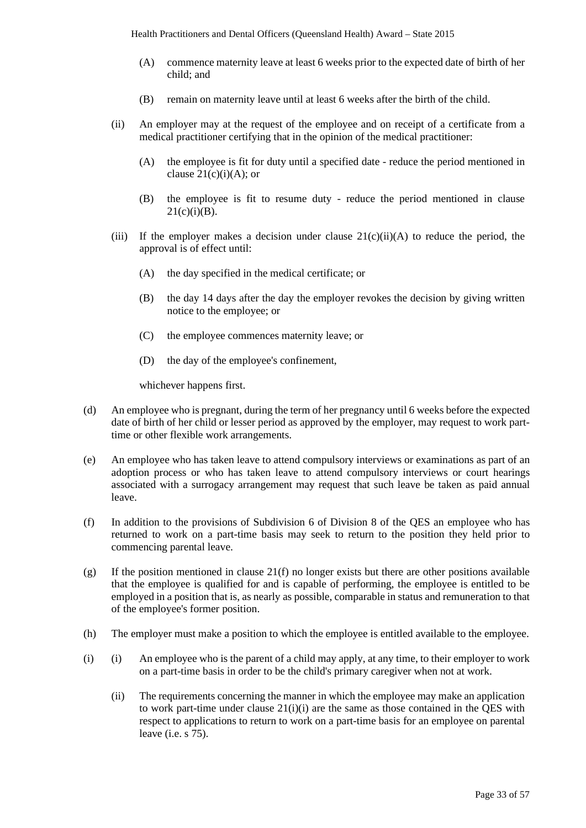- (A) commence maternity leave at least 6 weeks prior to the expected date of birth of her child; and
- (B) remain on maternity leave until at least 6 weeks after the birth of the child.
- (ii) An employer may at the request of the employee and on receipt of a certificate from a medical practitioner certifying that in the opinion of the medical practitioner:
	- (A) the employee is fit for duty until a specified date reduce the period mentioned in clause  $21(c)(i)(A)$ ; or
	- (B) the employee is fit to resume duty reduce the period mentioned in clause  $21(c)(i)(B)$ .
- (iii) If the employer makes a decision under clause  $21(c)(ii)(A)$  to reduce the period, the approval is of effect until:
	- (A) the day specified in the medical certificate; or
	- (B) the day 14 days after the day the employer revokes the decision by giving written notice to the employee; or
	- (C) the employee commences maternity leave; or
	- (D) the day of the employee's confinement,

whichever happens first.

- (d) An employee who is pregnant, during the term of her pregnancy until 6 weeks before the expected date of birth of her child or lesser period as approved by the employer, may request to work parttime or other flexible work arrangements.
- (e) An employee who has taken leave to attend compulsory interviews or examinations as part of an adoption process or who has taken leave to attend compulsory interviews or court hearings associated with a surrogacy arrangement may request that such leave be taken as paid annual leave.
- (f) In addition to the provisions of Subdivision 6 of Division 8 of the QES an employee who has returned to work on a part-time basis may seek to return to the position they held prior to commencing parental leave.
- (g) If the position mentioned in clause 21(f) no longer exists but there are other positions available that the employee is qualified for and is capable of performing, the employee is entitled to be employed in a position that is, as nearly as possible, comparable in status and remuneration to that of the employee's former position.
- (h) The employer must make a position to which the employee is entitled available to the employee.
- (i) (i) An employee who is the parent of a child may apply, at any time, to their employer to work on a part-time basis in order to be the child's primary caregiver when not at work.
	- (ii) The requirements concerning the manner in which the employee may make an application to work part-time under clause  $21(i)(i)$  are the same as those contained in the QES with respect to applications to return to work on a part-time basis for an employee on parental leave (i.e. s 75).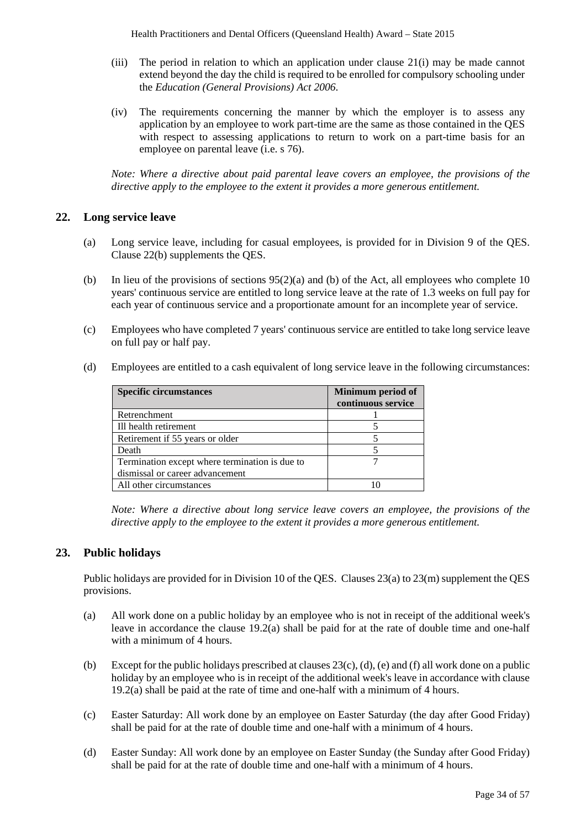- (iii) The period in relation to which an application under clause 21(i) may be made cannot extend beyond the day the child is required to be enrolled for compulsory schooling under the *Education (General Provisions) Act 2006*.
- (iv) The requirements concerning the manner by which the employer is to assess any application by an employee to work part-time are the same as those contained in the QES with respect to assessing applications to return to work on a part-time basis for an employee on parental leave (i.e. s 76).

*Note: Where a directive about paid parental leave covers an employee, the provisions of the directive apply to the employee to the extent it provides a more generous entitlement.*

### **22. Long service leave**

- (a) Long service leave, including for casual employees, is provided for in Division 9 of the QES. Clause 22(b) supplements the QES.
- (b) In lieu of the provisions of sections 95(2)(a) and (b) of the Act, all employees who complete 10 years' continuous service are entitled to long service leave at the rate of 1.3 weeks on full pay for each year of continuous service and a proportionate amount for an incomplete year of service.
- (c) Employees who have completed 7 years' continuous service are entitled to take long service leave on full pay or half pay.
- (d) Employees are entitled to a cash equivalent of long service leave in the following circumstances:

| <b>Specific circumstances</b>                  | Minimum period of<br>continuous service |
|------------------------------------------------|-----------------------------------------|
| Retrenchment                                   |                                         |
| Ill health retirement                          |                                         |
| Retirement if 55 years or older                |                                         |
| Death                                          |                                         |
| Termination except where termination is due to |                                         |
| dismissal or career advancement                |                                         |
| All other circumstances                        |                                         |

*Note: Where a directive about long service leave covers an employee, the provisions of the directive apply to the employee to the extent it provides a more generous entitlement.* 

## **23. Public holidays**

Public holidays are provided for in Division 10 of the QES. Clauses 23(a) to 23(m) supplement the QES provisions.

- (a) All work done on a public holiday by an employee who is not in receipt of the additional week's leave in accordance the clause 19.2(a) shall be paid for at the rate of double time and one-half with a minimum of 4 hours.
- (b) Except for the public holidays prescribed at clauses  $23(c)$ , (d), (e) and (f) all work done on a public holiday by an employee who is in receipt of the additional week's leave in accordance with clause 19.2(a) shall be paid at the rate of time and one-half with a minimum of 4 hours.
- (c) Easter Saturday: All work done by an employee on Easter Saturday (the day after Good Friday) shall be paid for at the rate of double time and one-half with a minimum of 4 hours.
- (d) Easter Sunday: All work done by an employee on Easter Sunday (the Sunday after Good Friday) shall be paid for at the rate of double time and one-half with a minimum of 4 hours.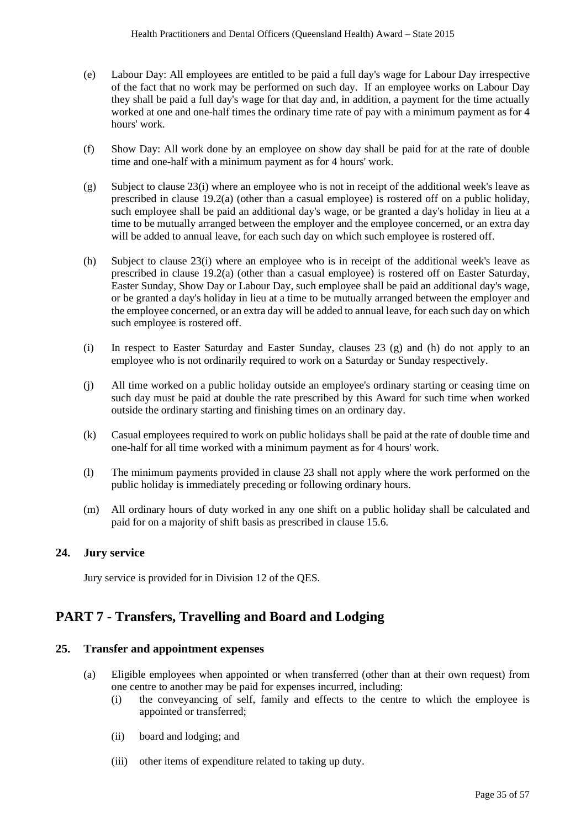- (e) Labour Day: All employees are entitled to be paid a full day's wage for Labour Day irrespective of the fact that no work may be performed on such day. If an employee works on Labour Day they shall be paid a full day's wage for that day and, in addition, a payment for the time actually worked at one and one-half times the ordinary time rate of pay with a minimum payment as for 4 hours' work.
- (f) Show Day: All work done by an employee on show day shall be paid for at the rate of double time and one-half with a minimum payment as for 4 hours' work.
- (g) Subject to clause 23(i) where an employee who is not in receipt of the additional week's leave as prescribed in clause 19.2(a) (other than a casual employee) is rostered off on a public holiday, such employee shall be paid an additional day's wage, or be granted a day's holiday in lieu at a time to be mutually arranged between the employer and the employee concerned, or an extra day will be added to annual leave, for each such day on which such employee is rostered off.
- (h) Subject to clause 23(i) where an employee who is in receipt of the additional week's leave as prescribed in clause 19.2(a) (other than a casual employee) is rostered off on Easter Saturday, Easter Sunday, Show Day or Labour Day, such employee shall be paid an additional day's wage, or be granted a day's holiday in lieu at a time to be mutually arranged between the employer and the employee concerned, or an extra day will be added to annual leave, for each such day on which such employee is rostered off.
- (i) In respect to Easter Saturday and Easter Sunday, clauses 23 (g) and (h) do not apply to an employee who is not ordinarily required to work on a Saturday or Sunday respectively.
- (j) All time worked on a public holiday outside an employee's ordinary starting or ceasing time on such day must be paid at double the rate prescribed by this Award for such time when worked outside the ordinary starting and finishing times on an ordinary day.
- (k) Casual employees required to work on public holidays shall be paid at the rate of double time and one-half for all time worked with a minimum payment as for 4 hours' work.
- (l) The minimum payments provided in clause 23 shall not apply where the work performed on the public holiday is immediately preceding or following ordinary hours.
- (m) All ordinary hours of duty worked in any one shift on a public holiday shall be calculated and paid for on a majority of shift basis as prescribed in clause 15.6.

## **24. Jury service**

Jury service is provided for in Division 12 of the QES.

## **PART 7 - Transfers, Travelling and Board and Lodging**

#### **25. Transfer and appointment expenses**

- (a) Eligible employees when appointed or when transferred (other than at their own request) from one centre to another may be paid for expenses incurred, including:
	- (i) the conveyancing of self, family and effects to the centre to which the employee is appointed or transferred;
	- (ii) board and lodging; and
	- (iii) other items of expenditure related to taking up duty.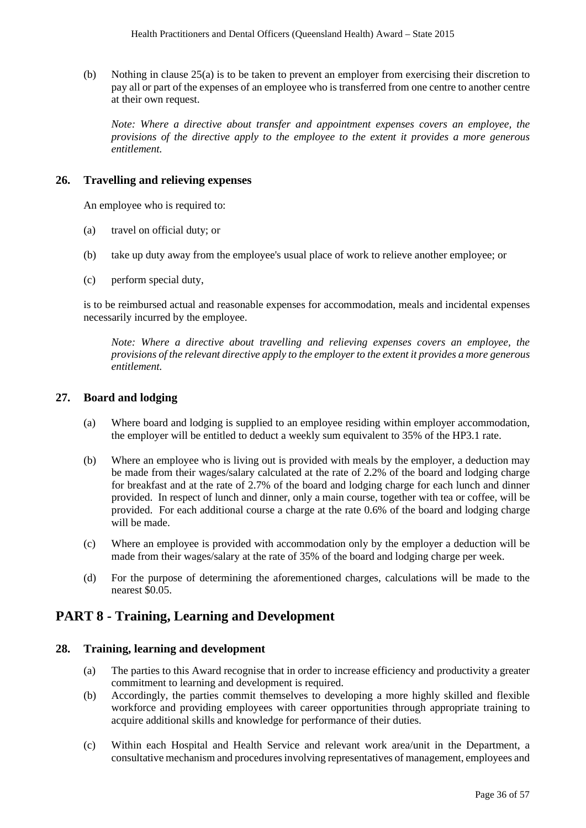(b) Nothing in clause 25(a) is to be taken to prevent an employer from exercising their discretion to pay all or part of the expenses of an employee who is transferred from one centre to another centre at their own request.

*Note: Where a directive about transfer and appointment expenses covers an employee, the provisions of the directive apply to the employee to the extent it provides a more generous entitlement.* 

## **26. Travelling and relieving expenses**

An employee who is required to:

- (a) travel on official duty; or
- (b) take up duty away from the employee's usual place of work to relieve another employee; or
- (c) perform special duty,

is to be reimbursed actual and reasonable expenses for accommodation, meals and incidental expenses necessarily incurred by the employee.

*Note: Where a directive about travelling and relieving expenses covers an employee, the provisions of the relevant directive apply to the employer to the extent it provides a more generous entitlement.* 

### **27. Board and lodging**

- (a) Where board and lodging is supplied to an employee residing within employer accommodation, the employer will be entitled to deduct a weekly sum equivalent to 35% of the HP3.1 rate.
- (b) Where an employee who is living out is provided with meals by the employer, a deduction may be made from their wages/salary calculated at the rate of 2.2% of the board and lodging charge for breakfast and at the rate of 2.7% of the board and lodging charge for each lunch and dinner provided. In respect of lunch and dinner, only a main course, together with tea or coffee, will be provided. For each additional course a charge at the rate 0.6% of the board and lodging charge will be made.
- (c) Where an employee is provided with accommodation only by the employer a deduction will be made from their wages/salary at the rate of 35% of the board and lodging charge per week.
- (d) For the purpose of determining the aforementioned charges, calculations will be made to the nearest \$0.05.

## **PART 8 - Training, Learning and Development**

#### **28. Training, learning and development**

- (a) The parties to this Award recognise that in order to increase efficiency and productivity a greater commitment to learning and development is required.
- (b) Accordingly, the parties commit themselves to developing a more highly skilled and flexible workforce and providing employees with career opportunities through appropriate training to acquire additional skills and knowledge for performance of their duties.
- (c) Within each Hospital and Health Service and relevant work area/unit in the Department, a consultative mechanism and procedures involving representatives of management, employees and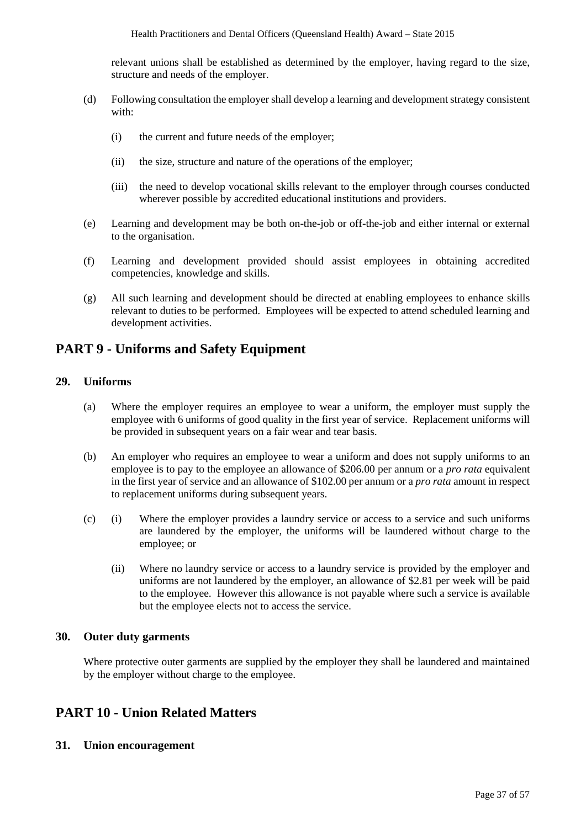relevant unions shall be established as determined by the employer, having regard to the size, structure and needs of the employer.

- (d) Following consultation the employer shall develop a learning and development strategy consistent with:
	- (i) the current and future needs of the employer;
	- (ii) the size, structure and nature of the operations of the employer;
	- (iii) the need to develop vocational skills relevant to the employer through courses conducted wherever possible by accredited educational institutions and providers.
- (e) Learning and development may be both on-the-job or off-the-job and either internal or external to the organisation.
- (f) Learning and development provided should assist employees in obtaining accredited competencies, knowledge and skills.
- (g) All such learning and development should be directed at enabling employees to enhance skills relevant to duties to be performed. Employees will be expected to attend scheduled learning and development activities.

## **PART 9 - Uniforms and Safety Equipment**

## **29. Uniforms**

- (a) Where the employer requires an employee to wear a uniform, the employer must supply the employee with 6 uniforms of good quality in the first year of service. Replacement uniforms will be provided in subsequent years on a fair wear and tear basis.
- (b) An employer who requires an employee to wear a uniform and does not supply uniforms to an employee is to pay to the employee an allowance of \$206.00 per annum or a *pro rata* equivalent in the first year of service and an allowance of \$102.00 per annum or a *pro rata* amount in respect to replacement uniforms during subsequent years.
- (c) (i) Where the employer provides a laundry service or access to a service and such uniforms are laundered by the employer, the uniforms will be laundered without charge to the employee; or
	- (ii) Where no laundry service or access to a laundry service is provided by the employer and uniforms are not laundered by the employer, an allowance of \$2.81 per week will be paid to the employee. However this allowance is not payable where such a service is available but the employee elects not to access the service.

## **30. Outer duty garments**

Where protective outer garments are supplied by the employer they shall be laundered and maintained by the employer without charge to the employee.

## **PART 10 - Union Related Matters**

**31. Union encouragement**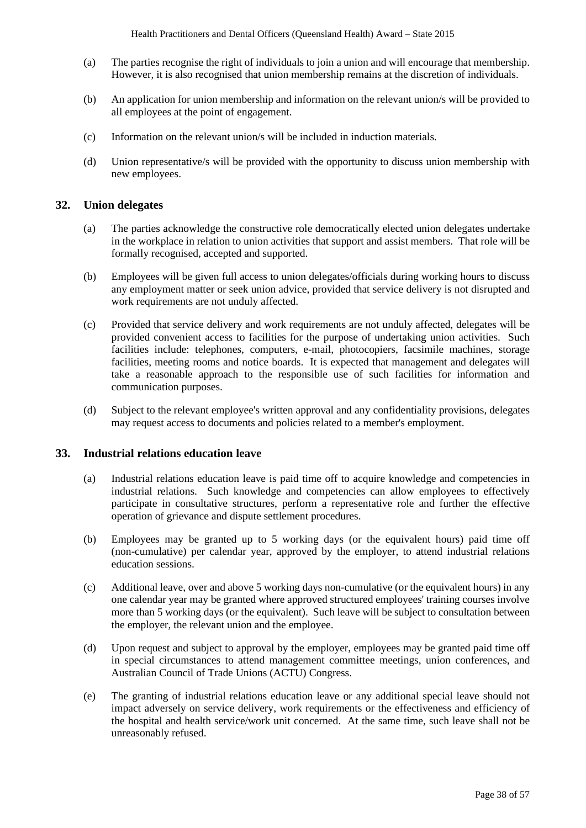- (a) The parties recognise the right of individuals to join a union and will encourage that membership. However, it is also recognised that union membership remains at the discretion of individuals.
- (b) An application for union membership and information on the relevant union/s will be provided to all employees at the point of engagement.
- (c) Information on the relevant union/s will be included in induction materials.
- (d) Union representative/s will be provided with the opportunity to discuss union membership with new employees.

### **32. Union delegates**

- (a) The parties acknowledge the constructive role democratically elected union delegates undertake in the workplace in relation to union activities that support and assist members. That role will be formally recognised, accepted and supported.
- (b) Employees will be given full access to union delegates/officials during working hours to discuss any employment matter or seek union advice, provided that service delivery is not disrupted and work requirements are not unduly affected.
- (c) Provided that service delivery and work requirements are not unduly affected, delegates will be provided convenient access to facilities for the purpose of undertaking union activities. Such facilities include: telephones, computers, e-mail, photocopiers, facsimile machines, storage facilities, meeting rooms and notice boards. It is expected that management and delegates will take a reasonable approach to the responsible use of such facilities for information and communication purposes.
- (d) Subject to the relevant employee's written approval and any confidentiality provisions, delegates may request access to documents and policies related to a member's employment.

### **33. Industrial relations education leave**

- (a) Industrial relations education leave is paid time off to acquire knowledge and competencies in industrial relations. Such knowledge and competencies can allow employees to effectively participate in consultative structures, perform a representative role and further the effective operation of grievance and dispute settlement procedures.
- (b) Employees may be granted up to 5 working days (or the equivalent hours) paid time off (non-cumulative) per calendar year, approved by the employer, to attend industrial relations education sessions.
- (c) Additional leave, over and above 5 working days non-cumulative (or the equivalent hours) in any one calendar year may be granted where approved structured employees' training courses involve more than 5 working days (or the equivalent). Such leave will be subject to consultation between the employer, the relevant union and the employee.
- (d) Upon request and subject to approval by the employer, employees may be granted paid time off in special circumstances to attend management committee meetings, union conferences, and Australian Council of Trade Unions (ACTU) Congress.
- (e) The granting of industrial relations education leave or any additional special leave should not impact adversely on service delivery, work requirements or the effectiveness and efficiency of the hospital and health service/work unit concerned. At the same time, such leave shall not be unreasonably refused.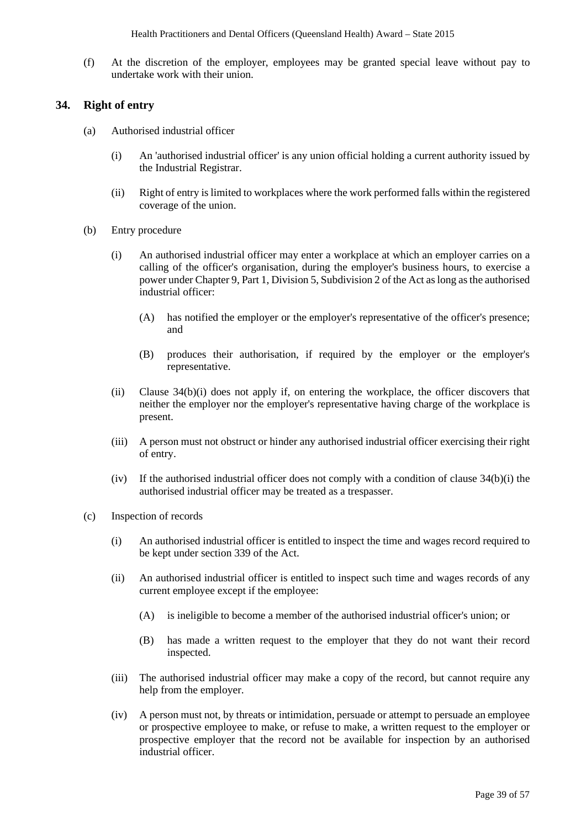(f) At the discretion of the employer, employees may be granted special leave without pay to undertake work with their union.

#### **34. Right of entry**

- (a) Authorised industrial officer
	- (i) An 'authorised industrial officer' is any union official holding a current authority issued by the Industrial Registrar.
	- (ii) Right of entry is limited to workplaces where the work performed falls within the registered coverage of the union.
- (b) Entry procedure
	- (i) An authorised industrial officer may enter a workplace at which an employer carries on a calling of the officer's organisation, during the employer's business hours, to exercise a power under Chapter 9, Part 1, Division 5, Subdivision 2 of the Act as long as the authorised industrial officer:
		- (A) has notified the employer or the employer's representative of the officer's presence; and
		- (B) produces their authorisation, if required by the employer or the employer's representative.
	- (ii) Clause 34(b)(i) does not apply if, on entering the workplace, the officer discovers that neither the employer nor the employer's representative having charge of the workplace is present.
	- (iii) A person must not obstruct or hinder any authorised industrial officer exercising their right of entry.
	- (iv) If the authorised industrial officer does not comply with a condition of clause 34(b)(i) the authorised industrial officer may be treated as a trespasser.
- (c) Inspection of records
	- (i) An authorised industrial officer is entitled to inspect the time and wages record required to be kept under section 339 of the Act.
	- (ii) An authorised industrial officer is entitled to inspect such time and wages records of any current employee except if the employee:
		- (A) is ineligible to become a member of the authorised industrial officer's union; or
		- (B) has made a written request to the employer that they do not want their record inspected.
	- (iii) The authorised industrial officer may make a copy of the record, but cannot require any help from the employer.
	- (iv) A person must not, by threats or intimidation, persuade or attempt to persuade an employee or prospective employee to make, or refuse to make, a written request to the employer or prospective employer that the record not be available for inspection by an authorised industrial officer.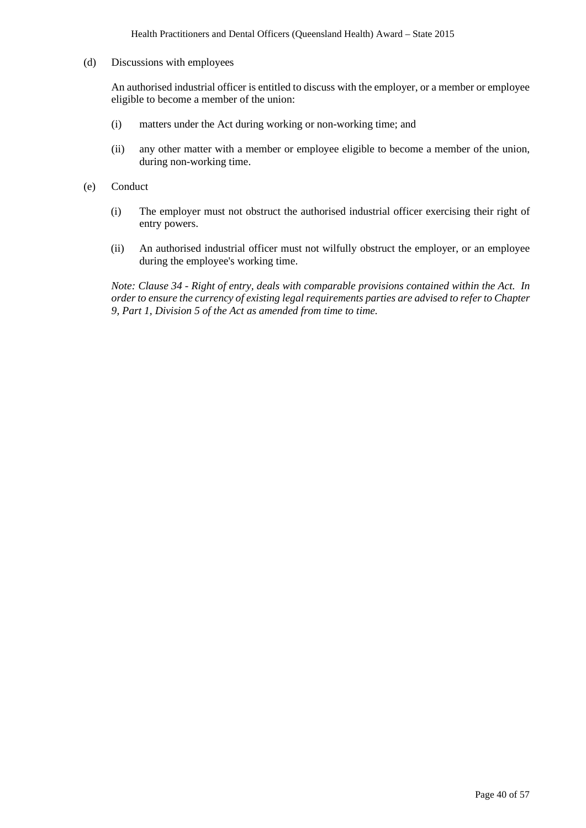Health Practitioners and Dental Officers (Queensland Health) Award – State 2015

(d) Discussions with employees

An authorised industrial officer is entitled to discuss with the employer, or a member or employee eligible to become a member of the union:

- (i) matters under the Act during working or non-working time; and
- (ii) any other matter with a member or employee eligible to become a member of the union, during non-working time.
- (e) Conduct
	- (i) The employer must not obstruct the authorised industrial officer exercising their right of entry powers.
	- (ii) An authorised industrial officer must not wilfully obstruct the employer, or an employee during the employee's working time.

*Note: Clause 34 - Right of entry, deals with comparable provisions contained within the Act. In order to ensure the currency of existing legal requirements parties are advised to refer to Chapter 9, Part 1, Division 5 of the Act as amended from time to time.*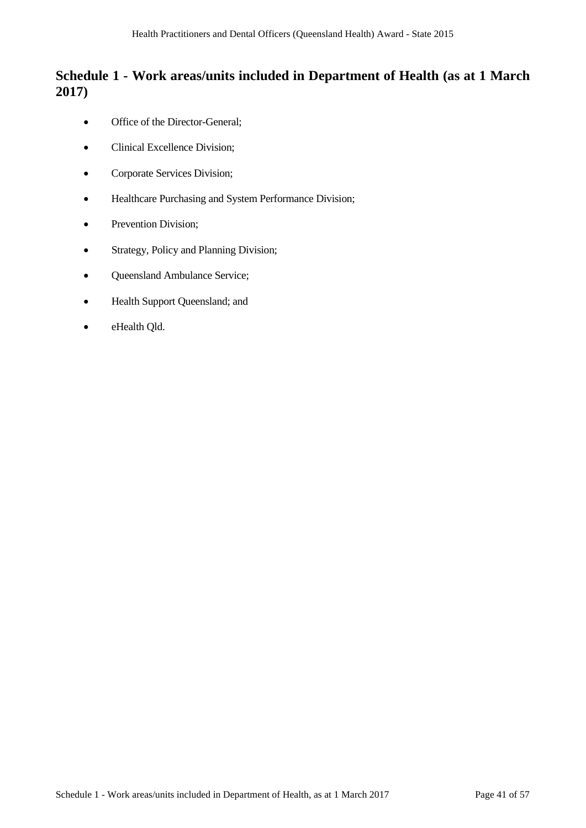## **Schedule 1 - Work areas/units included in Department of Health (as at 1 March 2017)**

- Office of the Director-General;
- Clinical Excellence Division;
- Corporate Services Division;
- Healthcare Purchasing and System Performance Division;
- Prevention Division:
- Strategy, Policy and Planning Division;
- Queensland Ambulance Service;
- Health Support Queensland; and
- eHealth Qld.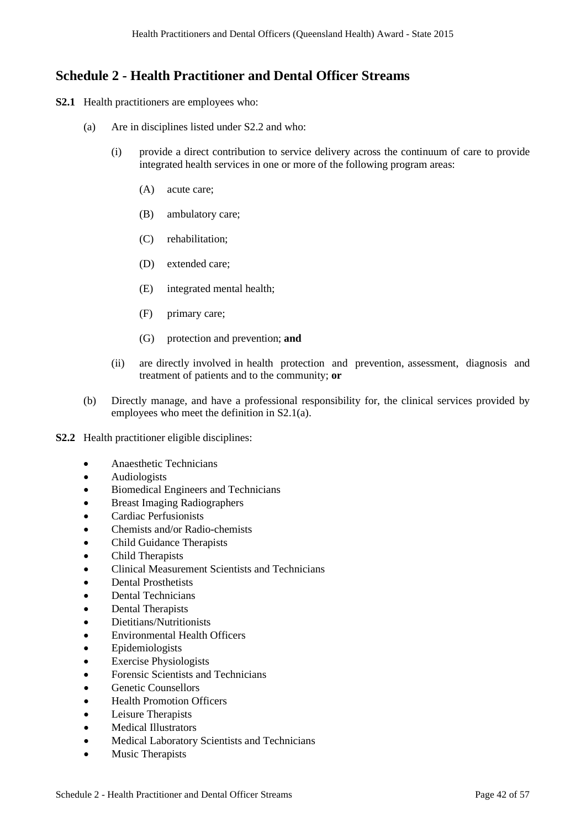## **Schedule 2 - Health Practitioner and Dental Officer Streams**

- **S2.1** Health practitioners are employees who:
	- (a) Are in disciplines listed under S2.2 and who:
		- (i) provide a direct contribution to service delivery across the continuum of care to provide integrated health services in one or more of the following program areas:
			- (A) acute care;
			- (B) ambulatory care;
			- (C) rehabilitation;
			- (D) extended care;
			- (E) integrated mental health;
			- (F) primary care;
			- (G) protection and prevention; **and**
		- (ii) are directly involved in health protection and prevention, assessment, diagnosis and treatment of patients and to the community; **or**
	- (b) Directly manage, and have a professional responsibility for, the clinical services provided by employees who meet the definition in S2.1(a).
- **S2.2** Health practitioner eligible disciplines:
	- Anaesthetic Technicians
	- Audiologists
	- Biomedical Engineers and Technicians
	- Breast Imaging Radiographers
	- Cardiac Perfusionists
	- Chemists and/or Radio-chemists
	- Child Guidance Therapists
	- Child Therapists
	- Clinical Measurement Scientists and Technicians
	- Dental Prosthetists
	- Dental Technicians
	- Dental Therapists
	- Dietitians/Nutritionists
	- Environmental Health Officers
	- Epidemiologists
	- **Exercise Physiologists**
	- Forensic Scientists and Technicians
	- Genetic Counsellors
	- Health Promotion Officers
	- Leisure Therapists
	- Medical Illustrators
	- Medical Laboratory Scientists and Technicians
	- Music Therapists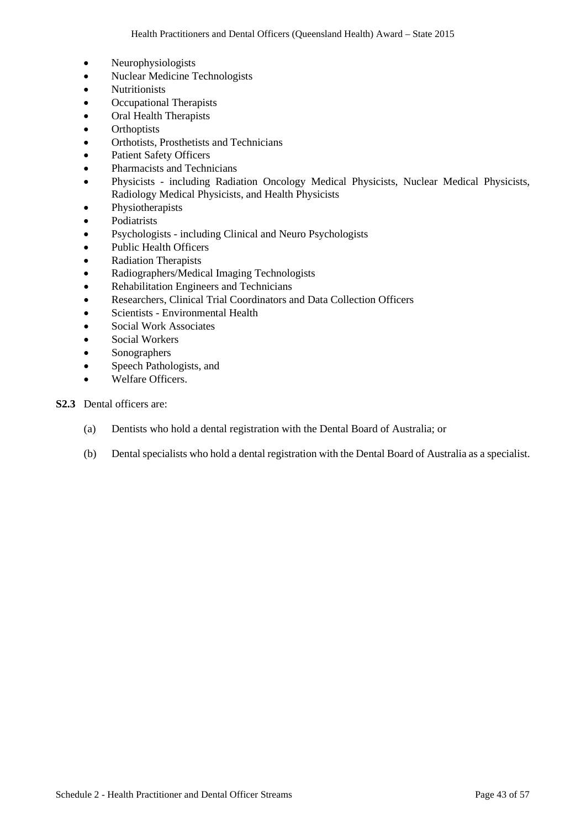- Neurophysiologists
- Nuclear Medicine Technologists
- Nutritionists
- Occupational Therapists
- Oral Health Therapists
- Orthoptists
- Orthotists, Prosthetists and Technicians
- Patient Safety Officers
- Pharmacists and Technicians
- Physicists including Radiation Oncology Medical Physicists, Nuclear Medical Physicists, Radiology Medical Physicists, and Health Physicists
- Physiotherapists
- Podiatrists
- Psychologists including Clinical and Neuro Psychologists
- Public Health Officers
- Radiation Therapists
- Radiographers/Medical Imaging Technologists
- Rehabilitation Engineers and Technicians
- Researchers, Clinical Trial Coordinators and Data Collection Officers
- Scientists Environmental Health
- Social Work Associates
- Social Workers
- Sonographers
- Speech Pathologists, and
- Welfare Officers.

### **S2.3** Dental officers are:

- (a) Dentists who hold a dental registration with the Dental Board of Australia; or
- (b) Dental specialists who hold a dental registration with the Dental Board of Australia as a specialist.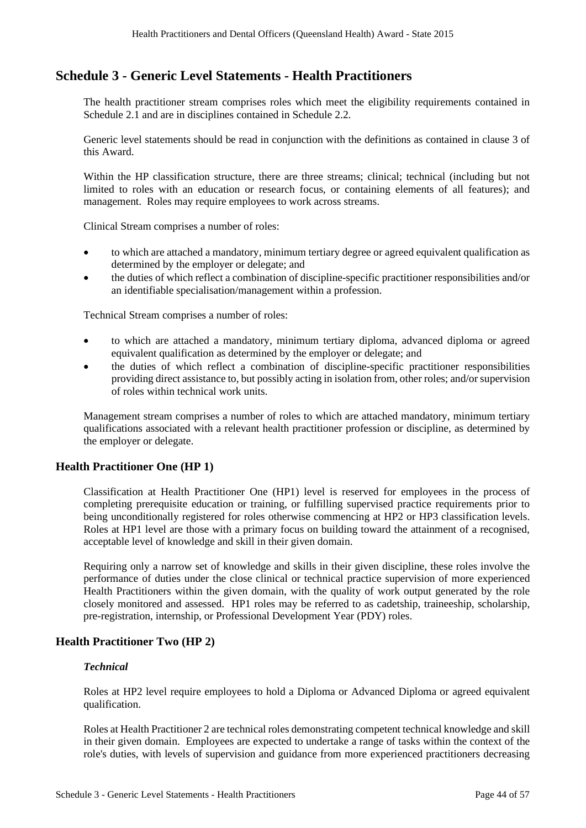## **Schedule 3 - Generic Level Statements - Health Practitioners**

The health practitioner stream comprises roles which meet the eligibility requirements contained in Schedule 2.1 and are in disciplines contained in Schedule 2.2.

Generic level statements should be read in conjunction with the definitions as contained in clause 3 of this Award.

Within the HP classification structure, there are three streams; clinical; technical (including but not limited to roles with an education or research focus, or containing elements of all features); and management. Roles may require employees to work across streams.

Clinical Stream comprises a number of roles:

- to which are attached a mandatory, minimum tertiary degree or agreed equivalent qualification as determined by the employer or delegate; and
- the duties of which reflect a combination of discipline-specific practitioner responsibilities and/or an identifiable specialisation/management within a profession.

Technical Stream comprises a number of roles:

- to which are attached a mandatory, minimum tertiary diploma, advanced diploma or agreed equivalent qualification as determined by the employer or delegate; and
- the duties of which reflect a combination of discipline-specific practitioner responsibilities providing direct assistance to, but possibly acting in isolation from, other roles; and/or supervision of roles within technical work units.

Management stream comprises a number of roles to which are attached mandatory, minimum tertiary qualifications associated with a relevant health practitioner profession or discipline, as determined by the employer or delegate.

#### **Health Practitioner One (HP 1)**

Classification at Health Practitioner One (HP1) level is reserved for employees in the process of completing prerequisite education or training, or fulfilling supervised practice requirements prior to being unconditionally registered for roles otherwise commencing at HP2 or HP3 classification levels. Roles at HP1 level are those with a primary focus on building toward the attainment of a recognised, acceptable level of knowledge and skill in their given domain.

Requiring only a narrow set of knowledge and skills in their given discipline, these roles involve the performance of duties under the close clinical or technical practice supervision of more experienced Health Practitioners within the given domain, with the quality of work output generated by the role closely monitored and assessed. HP1 roles may be referred to as cadetship, traineeship, scholarship, pre-registration, internship, or Professional Development Year (PDY) roles.

## **Health Practitioner Two (HP 2)**

#### *Technical*

Roles at HP2 level require employees to hold a Diploma or Advanced Diploma or agreed equivalent qualification.

Roles at Health Practitioner 2 are technical roles demonstrating competent technical knowledge and skill in their given domain. Employees are expected to undertake a range of tasks within the context of the role's duties, with levels of supervision and guidance from more experienced practitioners decreasing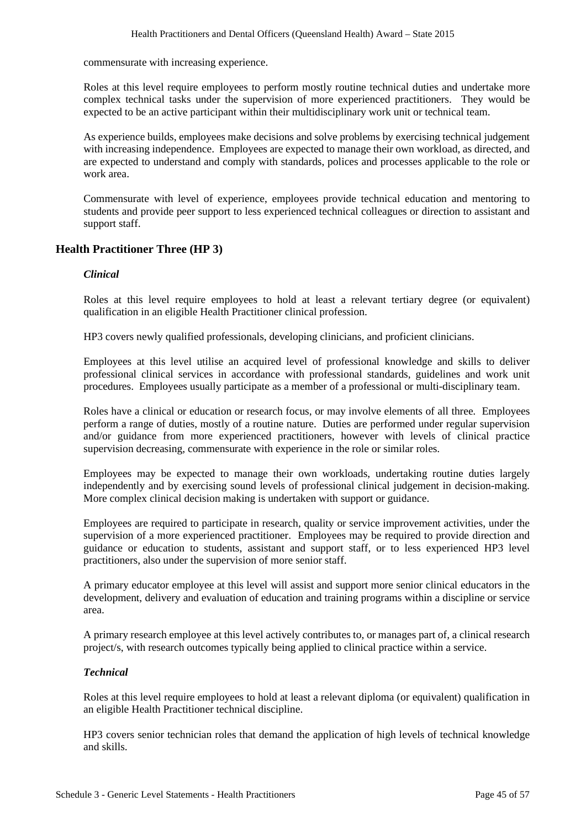commensurate with increasing experience.

Roles at this level require employees to perform mostly routine technical duties and undertake more complex technical tasks under the supervision of more experienced practitioners. They would be expected to be an active participant within their multidisciplinary work unit or technical team.

As experience builds, employees make decisions and solve problems by exercising technical judgement with increasing independence. Employees are expected to manage their own workload, as directed, and are expected to understand and comply with standards, polices and processes applicable to the role or work area.

Commensurate with level of experience, employees provide technical education and mentoring to students and provide peer support to less experienced technical colleagues or direction to assistant and support staff.

## **Health Practitioner Three (HP 3)**

#### *Clinical*

Roles at this level require employees to hold at least a relevant tertiary degree (or equivalent) qualification in an eligible Health Practitioner clinical profession.

HP3 covers newly qualified professionals, developing clinicians, and proficient clinicians.

Employees at this level utilise an acquired level of professional knowledge and skills to deliver professional clinical services in accordance with professional standards, guidelines and work unit procedures. Employees usually participate as a member of a professional or multi-disciplinary team.

Roles have a clinical or education or research focus, or may involve elements of all three. Employees perform a range of duties, mostly of a routine nature. Duties are performed under regular supervision and/or guidance from more experienced practitioners, however with levels of clinical practice supervision decreasing, commensurate with experience in the role or similar roles.

Employees may be expected to manage their own workloads, undertaking routine duties largely independently and by exercising sound levels of professional clinical judgement in decision-making. More complex clinical decision making is undertaken with support or guidance.

Employees are required to participate in research, quality or service improvement activities, under the supervision of a more experienced practitioner. Employees may be required to provide direction and guidance or education to students, assistant and support staff, or to less experienced HP3 level practitioners, also under the supervision of more senior staff.

A primary educator employee at this level will assist and support more senior clinical educators in the development, delivery and evaluation of education and training programs within a discipline or service area.

A primary research employee at this level actively contributes to, or manages part of, a clinical research project/s, with research outcomes typically being applied to clinical practice within a service.

#### *Technical*

Roles at this level require employees to hold at least a relevant diploma (or equivalent) qualification in an eligible Health Practitioner technical discipline.

HP3 covers senior technician roles that demand the application of high levels of technical knowledge and skills.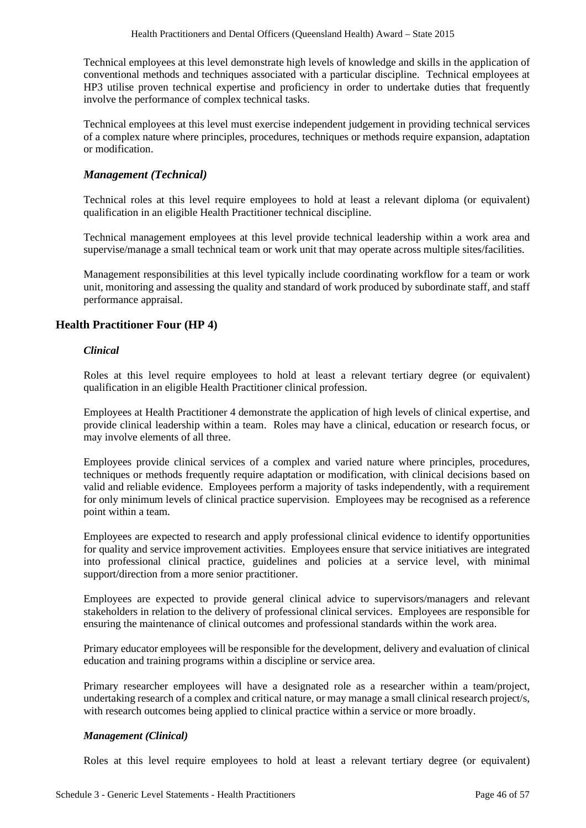Technical employees at this level demonstrate high levels of knowledge and skills in the application of conventional methods and techniques associated with a particular discipline. Technical employees at HP3 utilise proven technical expertise and proficiency in order to undertake duties that frequently involve the performance of complex technical tasks.

Technical employees at this level must exercise independent judgement in providing technical services of a complex nature where principles, procedures, techniques or methods require expansion, adaptation or modification.

## *Management (Technical)*

Technical roles at this level require employees to hold at least a relevant diploma (or equivalent) qualification in an eligible Health Practitioner technical discipline.

Technical management employees at this level provide technical leadership within a work area and supervise/manage a small technical team or work unit that may operate across multiple sites/facilities.

Management responsibilities at this level typically include coordinating workflow for a team or work unit, monitoring and assessing the quality and standard of work produced by subordinate staff, and staff performance appraisal.

## **Health Practitioner Four (HP 4)**

#### *Clinical*

Roles at this level require employees to hold at least a relevant tertiary degree (or equivalent) qualification in an eligible Health Practitioner clinical profession.

Employees at Health Practitioner 4 demonstrate the application of high levels of clinical expertise, and provide clinical leadership within a team. Roles may have a clinical, education or research focus, or may involve elements of all three.

Employees provide clinical services of a complex and varied nature where principles, procedures, techniques or methods frequently require adaptation or modification, with clinical decisions based on valid and reliable evidence. Employees perform a majority of tasks independently, with a requirement for only minimum levels of clinical practice supervision. Employees may be recognised as a reference point within a team.

Employees are expected to research and apply professional clinical evidence to identify opportunities for quality and service improvement activities. Employees ensure that service initiatives are integrated into professional clinical practice, guidelines and policies at a service level, with minimal support/direction from a more senior practitioner.

Employees are expected to provide general clinical advice to supervisors/managers and relevant stakeholders in relation to the delivery of professional clinical services. Employees are responsible for ensuring the maintenance of clinical outcomes and professional standards within the work area.

Primary educator employees will be responsible for the development, delivery and evaluation of clinical education and training programs within a discipline or service area.

Primary researcher employees will have a designated role as a researcher within a team/project, undertaking research of a complex and critical nature, or may manage a small clinical research project/s, with research outcomes being applied to clinical practice within a service or more broadly.

#### *Management (Clinical)*

Roles at this level require employees to hold at least a relevant tertiary degree (or equivalent)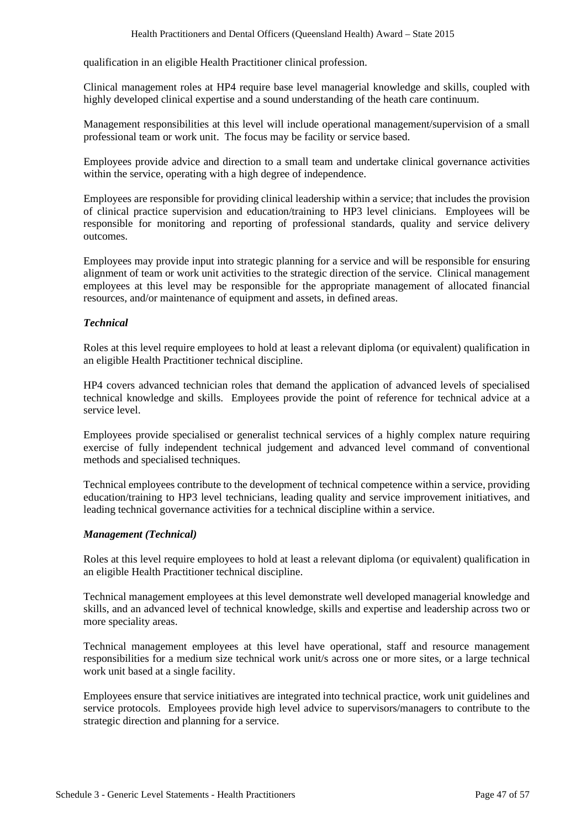qualification in an eligible Health Practitioner clinical profession.

Clinical management roles at HP4 require base level managerial knowledge and skills, coupled with highly developed clinical expertise and a sound understanding of the heath care continuum.

Management responsibilities at this level will include operational management/supervision of a small professional team or work unit. The focus may be facility or service based.

Employees provide advice and direction to a small team and undertake clinical governance activities within the service, operating with a high degree of independence.

Employees are responsible for providing clinical leadership within a service; that includes the provision of clinical practice supervision and education/training to HP3 level clinicians. Employees will be responsible for monitoring and reporting of professional standards, quality and service delivery outcomes.

Employees may provide input into strategic planning for a service and will be responsible for ensuring alignment of team or work unit activities to the strategic direction of the service. Clinical management employees at this level may be responsible for the appropriate management of allocated financial resources, and/or maintenance of equipment and assets, in defined areas.

#### *Technical*

Roles at this level require employees to hold at least a relevant diploma (or equivalent) qualification in an eligible Health Practitioner technical discipline.

HP4 covers advanced technician roles that demand the application of advanced levels of specialised technical knowledge and skills. Employees provide the point of reference for technical advice at a service level.

Employees provide specialised or generalist technical services of a highly complex nature requiring exercise of fully independent technical judgement and advanced level command of conventional methods and specialised techniques.

Technical employees contribute to the development of technical competence within a service, providing education/training to HP3 level technicians, leading quality and service improvement initiatives, and leading technical governance activities for a technical discipline within a service.

#### *Management (Technical)*

Roles at this level require employees to hold at least a relevant diploma (or equivalent) qualification in an eligible Health Practitioner technical discipline.

Technical management employees at this level demonstrate well developed managerial knowledge and skills, and an advanced level of technical knowledge, skills and expertise and leadership across two or more speciality areas.

Technical management employees at this level have operational, staff and resource management responsibilities for a medium size technical work unit/s across one or more sites, or a large technical work unit based at a single facility.

Employees ensure that service initiatives are integrated into technical practice, work unit guidelines and service protocols. Employees provide high level advice to supervisors/managers to contribute to the strategic direction and planning for a service.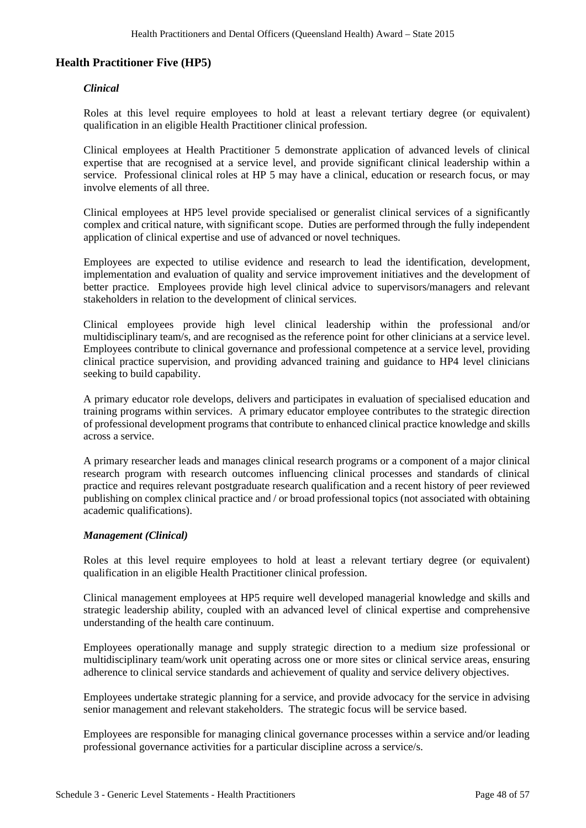### **Health Practitioner Five (HP5)**

#### *Clinical*

Roles at this level require employees to hold at least a relevant tertiary degree (or equivalent) qualification in an eligible Health Practitioner clinical profession.

Clinical employees at Health Practitioner 5 demonstrate application of advanced levels of clinical expertise that are recognised at a service level, and provide significant clinical leadership within a service. Professional clinical roles at HP 5 may have a clinical, education or research focus, or may involve elements of all three.

Clinical employees at HP5 level provide specialised or generalist clinical services of a significantly complex and critical nature, with significant scope. Duties are performed through the fully independent application of clinical expertise and use of advanced or novel techniques.

Employees are expected to utilise evidence and research to lead the identification, development, implementation and evaluation of quality and service improvement initiatives and the development of better practice. Employees provide high level clinical advice to supervisors/managers and relevant stakeholders in relation to the development of clinical services.

Clinical employees provide high level clinical leadership within the professional and/or multidisciplinary team/s, and are recognised as the reference point for other clinicians at a service level. Employees contribute to clinical governance and professional competence at a service level, providing clinical practice supervision, and providing advanced training and guidance to HP4 level clinicians seeking to build capability.

A primary educator role develops, delivers and participates in evaluation of specialised education and training programs within services. A primary educator employee contributes to the strategic direction of professional development programs that contribute to enhanced clinical practice knowledge and skills across a service.

A primary researcher leads and manages clinical research programs or a component of a major clinical research program with research outcomes influencing clinical processes and standards of clinical practice and requires relevant postgraduate research qualification and a recent history of peer reviewed publishing on complex clinical practice and / or broad professional topics (not associated with obtaining academic qualifications).

#### *Management (Clinical)*

Roles at this level require employees to hold at least a relevant tertiary degree (or equivalent) qualification in an eligible Health Practitioner clinical profession.

Clinical management employees at HP5 require well developed managerial knowledge and skills and strategic leadership ability, coupled with an advanced level of clinical expertise and comprehensive understanding of the health care continuum.

Employees operationally manage and supply strategic direction to a medium size professional or multidisciplinary team/work unit operating across one or more sites or clinical service areas, ensuring adherence to clinical service standards and achievement of quality and service delivery objectives.

Employees undertake strategic planning for a service, and provide advocacy for the service in advising senior management and relevant stakeholders. The strategic focus will be service based.

Employees are responsible for managing clinical governance processes within a service and/or leading professional governance activities for a particular discipline across a service/s.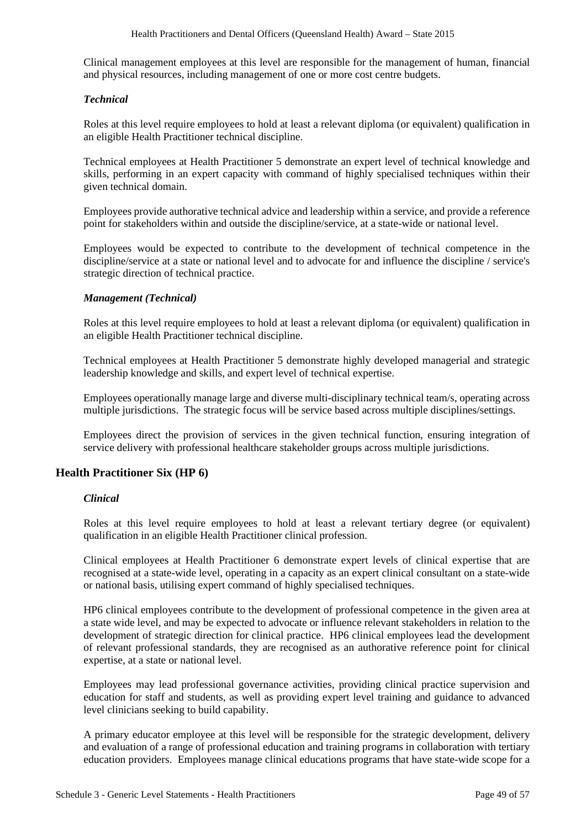Clinical management employees at this level are responsible for the management of human, financial and physical resources, including management of one or more cost centre budgets.

### *Technical*

Roles at this level require employees to hold at least a relevant diploma (or equivalent) qualification in an eligible Health Practitioner technical discipline.

Technical employees at Health Practitioner 5 demonstrate an expert level of technical knowledge and skills, performing in an expert capacity with command of highly specialised techniques within their given technical domain.

Employees provide authorative technical advice and leadership within a service, and provide a reference point for stakeholders within and outside the discipline/service, at a state-wide or national level.

Employees would be expected to contribute to the development of technical competence in the discipline/service at a state or national level and to advocate for and influence the discipline / service's strategic direction of technical practice.

### *Management (Technical)*

Roles at this level require employees to hold at least a relevant diploma (or equivalent) qualification in an eligible Health Practitioner technical discipline.

Technical employees at Health Practitioner 5 demonstrate highly developed managerial and strategic leadership knowledge and skills, and expert level of technical expertise.

Employees operationally manage large and diverse multi-disciplinary technical team/s, operating across multiple jurisdictions. The strategic focus will be service based across multiple disciplines/settings.

Employees direct the provision of services in the given technical function, ensuring integration of service delivery with professional healthcare stakeholder groups across multiple jurisdictions.

## **Health Practitioner Six (HP 6)**

#### *Clinical*

Roles at this level require employees to hold at least a relevant tertiary degree (or equivalent) qualification in an eligible Health Practitioner clinical profession.

Clinical employees at Health Practitioner 6 demonstrate expert levels of clinical expertise that are recognised at a state-wide level, operating in a capacity as an expert clinical consultant on a state-wide or national basis, utilising expert command of highly specialised techniques.

HP6 clinical employees contribute to the development of professional competence in the given area at a state wide level, and may be expected to advocate or influence relevant stakeholders in relation to the development of strategic direction for clinical practice. HP6 clinical employees lead the development of relevant professional standards, they are recognised as an authorative reference point for clinical expertise, at a state or national level.

Employees may lead professional governance activities, providing clinical practice supervision and education for staff and students, as well as providing expert level training and guidance to advanced level clinicians seeking to build capability.

A primary educator employee at this level will be responsible for the strategic development, delivery and evaluation of a range of professional education and training programs in collaboration with tertiary education providers. Employees manage clinical educations programs that have state-wide scope for a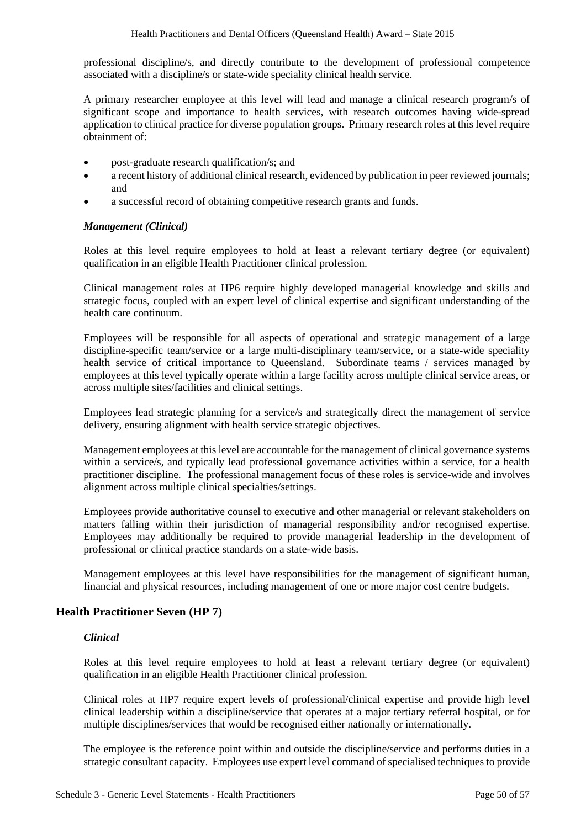professional discipline/s, and directly contribute to the development of professional competence associated with a discipline/s or state-wide speciality clinical health service.

A primary researcher employee at this level will lead and manage a clinical research program/s of significant scope and importance to health services, with research outcomes having wide-spread application to clinical practice for diverse population groups. Primary research roles at this level require obtainment of:

- post-graduate research qualification/s; and
- a recent history of additional clinical research, evidenced by publication in peer reviewed journals; and
- a successful record of obtaining competitive research grants and funds.

#### *Management (Clinical)*

Roles at this level require employees to hold at least a relevant tertiary degree (or equivalent) qualification in an eligible Health Practitioner clinical profession.

Clinical management roles at HP6 require highly developed managerial knowledge and skills and strategic focus, coupled with an expert level of clinical expertise and significant understanding of the health care continuum.

Employees will be responsible for all aspects of operational and strategic management of a large discipline-specific team/service or a large multi-disciplinary team/service, or a state-wide speciality health service of critical importance to Queensland. Subordinate teams / services managed by employees at this level typically operate within a large facility across multiple clinical service areas, or across multiple sites/facilities and clinical settings.

Employees lead strategic planning for a service/s and strategically direct the management of service delivery, ensuring alignment with health service strategic objectives.

Management employees at this level are accountable for the management of clinical governance systems within a service/s, and typically lead professional governance activities within a service, for a health practitioner discipline. The professional management focus of these roles is service-wide and involves alignment across multiple clinical specialties/settings.

Employees provide authoritative counsel to executive and other managerial or relevant stakeholders on matters falling within their jurisdiction of managerial responsibility and/or recognised expertise. Employees may additionally be required to provide managerial leadership in the development of professional or clinical practice standards on a state-wide basis.

Management employees at this level have responsibilities for the management of significant human, financial and physical resources, including management of one or more major cost centre budgets.

#### **Health Practitioner Seven (HP 7)**

#### *Clinical*

Roles at this level require employees to hold at least a relevant tertiary degree (or equivalent) qualification in an eligible Health Practitioner clinical profession.

Clinical roles at HP7 require expert levels of professional/clinical expertise and provide high level clinical leadership within a discipline/service that operates at a major tertiary referral hospital, or for multiple disciplines/services that would be recognised either nationally or internationally.

The employee is the reference point within and outside the discipline/service and performs duties in a strategic consultant capacity. Employees use expert level command of specialised techniques to provide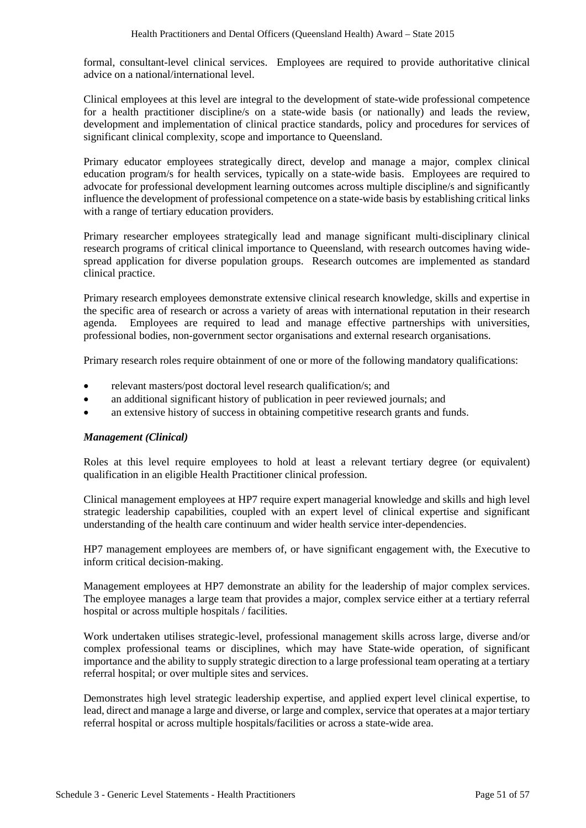formal, consultant-level clinical services. Employees are required to provide authoritative clinical advice on a national/international level.

Clinical employees at this level are integral to the development of state-wide professional competence for a health practitioner discipline/s on a state-wide basis (or nationally) and leads the review, development and implementation of clinical practice standards, policy and procedures for services of significant clinical complexity, scope and importance to Queensland.

Primary educator employees strategically direct, develop and manage a major, complex clinical education program/s for health services, typically on a state-wide basis. Employees are required to advocate for professional development learning outcomes across multiple discipline/s and significantly influence the development of professional competence on a state-wide basis by establishing critical links with a range of tertiary education providers.

Primary researcher employees strategically lead and manage significant multi-disciplinary clinical research programs of critical clinical importance to Queensland, with research outcomes having widespread application for diverse population groups. Research outcomes are implemented as standard clinical practice.

Primary research employees demonstrate extensive clinical research knowledge, skills and expertise in the specific area of research or across a variety of areas with international reputation in their research agenda. Employees are required to lead and manage effective partnerships with universities, professional bodies, non-government sector organisations and external research organisations.

Primary research roles require obtainment of one or more of the following mandatory qualifications:

- relevant masters/post doctoral level research qualification/s; and
- an additional significant history of publication in peer reviewed journals; and
- an extensive history of success in obtaining competitive research grants and funds.

#### *Management (Clinical)*

Roles at this level require employees to hold at least a relevant tertiary degree (or equivalent) qualification in an eligible Health Practitioner clinical profession.

Clinical management employees at HP7 require expert managerial knowledge and skills and high level strategic leadership capabilities, coupled with an expert level of clinical expertise and significant understanding of the health care continuum and wider health service inter-dependencies.

HP7 management employees are members of, or have significant engagement with, the Executive to inform critical decision-making.

Management employees at HP7 demonstrate an ability for the leadership of major complex services. The employee manages a large team that provides a major, complex service either at a tertiary referral hospital or across multiple hospitals / facilities.

Work undertaken utilises strategic-level, professional management skills across large, diverse and/or complex professional teams or disciplines, which may have State-wide operation, of significant importance and the ability to supply strategic direction to a large professional team operating at a tertiary referral hospital; or over multiple sites and services.

Demonstrates high level strategic leadership expertise, and applied expert level clinical expertise, to lead, direct and manage a large and diverse, or large and complex, service that operates at a major tertiary referral hospital or across multiple hospitals/facilities or across a state-wide area.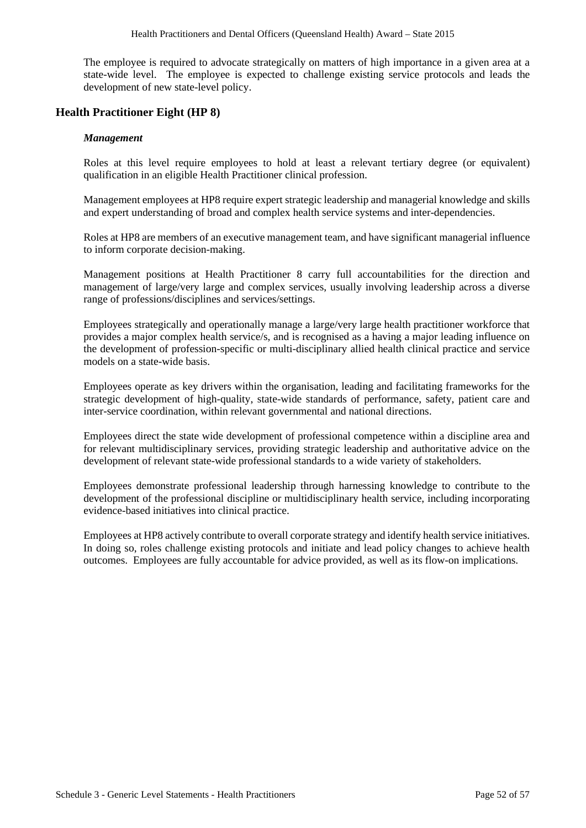The employee is required to advocate strategically on matters of high importance in a given area at a state-wide level. The employee is expected to challenge existing service protocols and leads the development of new state-level policy.

### **Health Practitioner Eight (HP 8)**

#### *Management*

Roles at this level require employees to hold at least a relevant tertiary degree (or equivalent) qualification in an eligible Health Practitioner clinical profession.

Management employees at HP8 require expert strategic leadership and managerial knowledge and skills and expert understanding of broad and complex health service systems and inter-dependencies.

Roles at HP8 are members of an executive management team, and have significant managerial influence to inform corporate decision-making.

Management positions at Health Practitioner 8 carry full accountabilities for the direction and management of large/very large and complex services, usually involving leadership across a diverse range of professions/disciplines and services/settings.

Employees strategically and operationally manage a large/very large health practitioner workforce that provides a major complex health service/s, and is recognised as a having a major leading influence on the development of profession-specific or multi-disciplinary allied health clinical practice and service models on a state-wide basis.

Employees operate as key drivers within the organisation, leading and facilitating frameworks for the strategic development of high-quality, state-wide standards of performance, safety, patient care and inter-service coordination, within relevant governmental and national directions.

Employees direct the state wide development of professional competence within a discipline area and for relevant multidisciplinary services, providing strategic leadership and authoritative advice on the development of relevant state-wide professional standards to a wide variety of stakeholders.

Employees demonstrate professional leadership through harnessing knowledge to contribute to the development of the professional discipline or multidisciplinary health service, including incorporating evidence-based initiatives into clinical practice.

Employees at HP8 actively contribute to overall corporate strategy and identify health service initiatives. In doing so, roles challenge existing protocols and initiate and lead policy changes to achieve health outcomes. Employees are fully accountable for advice provided, as well as its flow-on implications.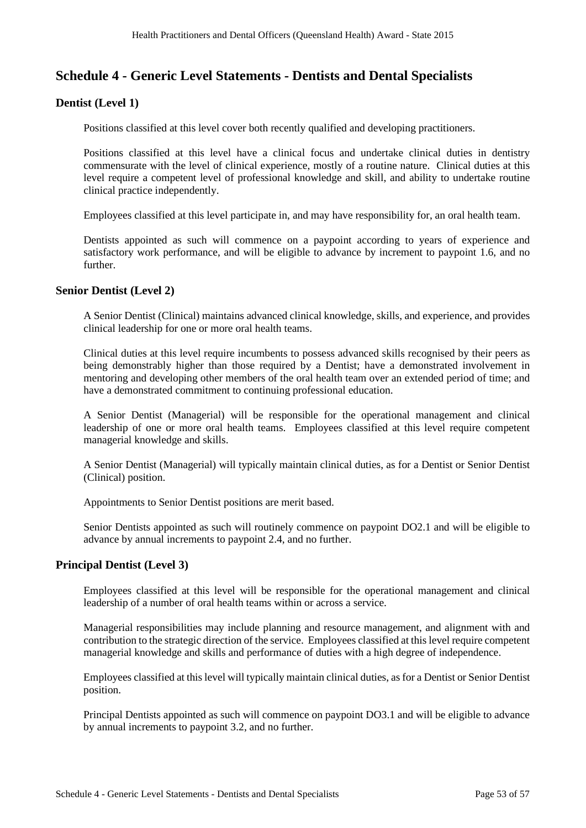## **Schedule 4 - Generic Level Statements - Dentists and Dental Specialists**

## **Dentist (Level 1)**

Positions classified at this level cover both recently qualified and developing practitioners.

Positions classified at this level have a clinical focus and undertake clinical duties in dentistry commensurate with the level of clinical experience, mostly of a routine nature. Clinical duties at this level require a competent level of professional knowledge and skill, and ability to undertake routine clinical practice independently.

Employees classified at this level participate in, and may have responsibility for, an oral health team.

Dentists appointed as such will commence on a paypoint according to years of experience and satisfactory work performance, and will be eligible to advance by increment to paypoint 1.6, and no further.

#### **Senior Dentist (Level 2)**

A Senior Dentist (Clinical) maintains advanced clinical knowledge, skills, and experience, and provides clinical leadership for one or more oral health teams.

Clinical duties at this level require incumbents to possess advanced skills recognised by their peers as being demonstrably higher than those required by a Dentist; have a demonstrated involvement in mentoring and developing other members of the oral health team over an extended period of time; and have a demonstrated commitment to continuing professional education.

A Senior Dentist (Managerial) will be responsible for the operational management and clinical leadership of one or more oral health teams. Employees classified at this level require competent managerial knowledge and skills.

A Senior Dentist (Managerial) will typically maintain clinical duties, as for a Dentist or Senior Dentist (Clinical) position.

Appointments to Senior Dentist positions are merit based.

Senior Dentists appointed as such will routinely commence on paypoint DO2.1 and will be eligible to advance by annual increments to paypoint 2.4, and no further.

## **Principal Dentist (Level 3)**

Employees classified at this level will be responsible for the operational management and clinical leadership of a number of oral health teams within or across a service.

Managerial responsibilities may include planning and resource management, and alignment with and contribution to the strategic direction of the service. Employees classified at this level require competent managerial knowledge and skills and performance of duties with a high degree of independence.

Employees classified at this level will typically maintain clinical duties, as for a Dentist or Senior Dentist position.

Principal Dentists appointed as such will commence on paypoint DO3.1 and will be eligible to advance by annual increments to paypoint 3.2, and no further.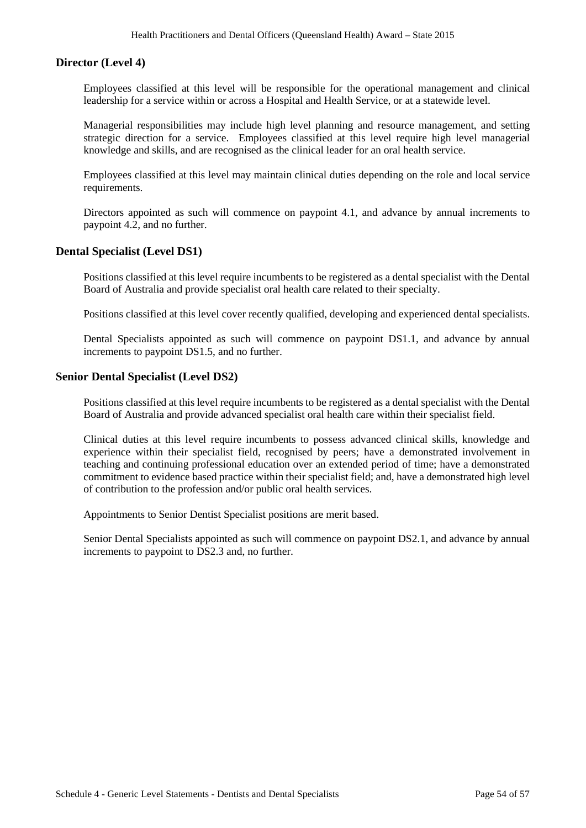## **Director (Level 4)**

Employees classified at this level will be responsible for the operational management and clinical leadership for a service within or across a Hospital and Health Service, or at a statewide level.

Managerial responsibilities may include high level planning and resource management, and setting strategic direction for a service. Employees classified at this level require high level managerial knowledge and skills, and are recognised as the clinical leader for an oral health service.

Employees classified at this level may maintain clinical duties depending on the role and local service requirements.

Directors appointed as such will commence on paypoint 4.1, and advance by annual increments to paypoint 4.2, and no further.

### **Dental Specialist (Level DS1)**

Positions classified at this level require incumbents to be registered as a dental specialist with the Dental Board of Australia and provide specialist oral health care related to their specialty.

Positions classified at this level cover recently qualified, developing and experienced dental specialists.

Dental Specialists appointed as such will commence on paypoint DS1.1, and advance by annual increments to paypoint DS1.5, and no further.

## **Senior Dental Specialist (Level DS2)**

Positions classified at this level require incumbents to be registered as a dental specialist with the Dental Board of Australia and provide advanced specialist oral health care within their specialist field.

Clinical duties at this level require incumbents to possess advanced clinical skills, knowledge and experience within their specialist field, recognised by peers; have a demonstrated involvement in teaching and continuing professional education over an extended period of time; have a demonstrated commitment to evidence based practice within their specialist field; and, have a demonstrated high level of contribution to the profession and/or public oral health services.

Appointments to Senior Dentist Specialist positions are merit based.

Senior Dental Specialists appointed as such will commence on paypoint DS2.1, and advance by annual increments to paypoint to DS2.3 and, no further.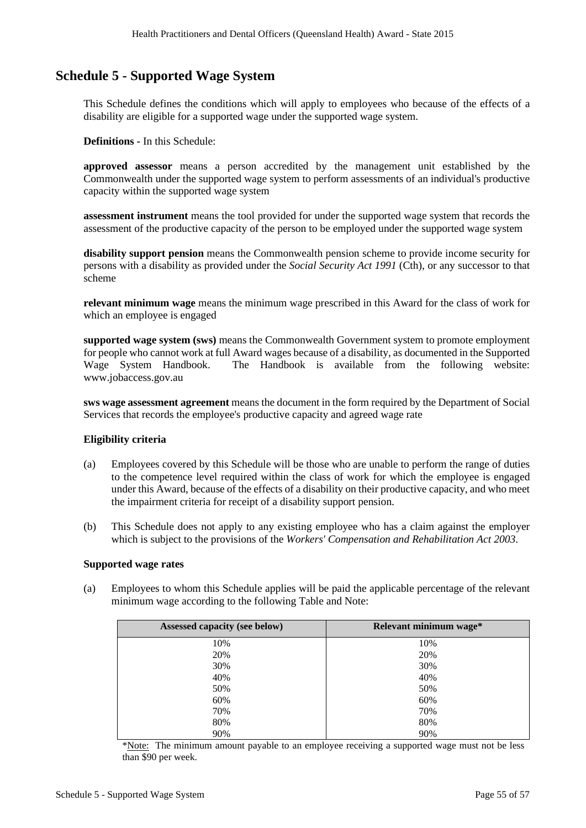## **Schedule 5 - Supported Wage System**

This Schedule defines the conditions which will apply to employees who because of the effects of a disability are eligible for a supported wage under the supported wage system.

**Definitions -** In this Schedule:

**approved assessor** means a person accredited by the management unit established by the Commonwealth under the supported wage system to perform assessments of an individual's productive capacity within the supported wage system

**assessment instrument** means the tool provided for under the supported wage system that records the assessment of the productive capacity of the person to be employed under the supported wage system

**disability support pension** means the Commonwealth pension scheme to provide income security for persons with a disability as provided under the *Social Security Act 1991* (Cth), or any successor to that scheme

**relevant minimum wage** means the minimum wage prescribed in this Award for the class of work for which an employee is engaged

**supported wage system (sws)** means the Commonwealth Government system to promote employment for people who cannot work at full Award wages because of a disability, as documented in the Supported The Handbook is available from the following website: www.jobaccess.gov.au

**sws wage assessment agreement** means the document in the form required by the Department of Social Services that records the employee's productive capacity and agreed wage rate

#### **Eligibility criteria**

- (a) Employees covered by this Schedule will be those who are unable to perform the range of duties to the competence level required within the class of work for which the employee is engaged under this Award, because of the effects of a disability on their productive capacity, and who meet the impairment criteria for receipt of a disability support pension.
- (b) This Schedule does not apply to any existing employee who has a claim against the employer which is subject to the provisions of the *Workers' Compensation and Rehabilitation Act 2003*.

### **Supported wage rates**

(a) Employees to whom this Schedule applies will be paid the applicable percentage of the relevant minimum wage according to the following Table and Note:

| Assessed capacity (see below) | Relevant minimum wage* |
|-------------------------------|------------------------|
| 10%                           | 10%                    |
| 20%                           | 20%                    |
| 30%                           | 30%                    |
| 40%                           | 40%                    |
| 50%                           | 50%                    |
| 60%                           | 60%                    |
| 70%                           | 70%                    |
| 80%                           | 80%                    |
| 90%                           | 90%                    |

\*Note: The minimum amount payable to an employee receiving a supported wage must not be less than \$90 per week.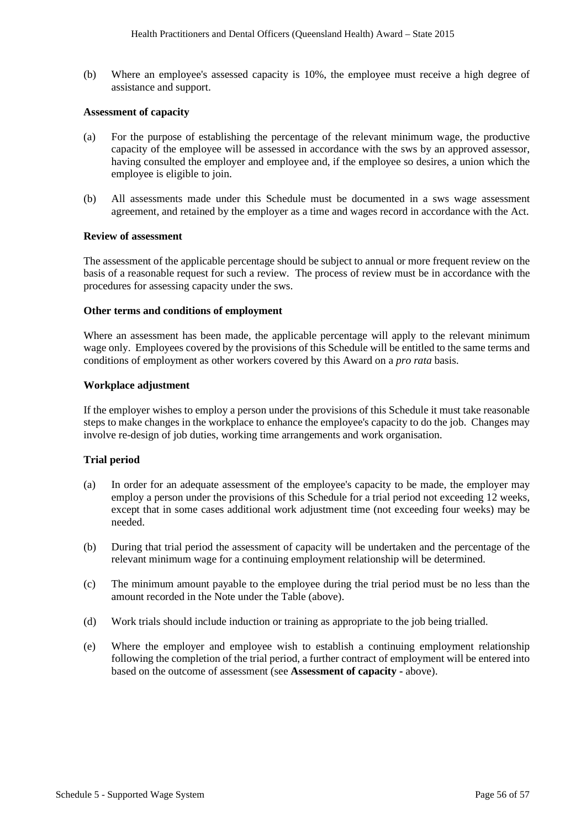(b) Where an employee's assessed capacity is 10%, the employee must receive a high degree of assistance and support.

#### **Assessment of capacity**

- (a) For the purpose of establishing the percentage of the relevant minimum wage, the productive capacity of the employee will be assessed in accordance with the sws by an approved assessor, having consulted the employer and employee and, if the employee so desires, a union which the employee is eligible to join.
- (b) All assessments made under this Schedule must be documented in a sws wage assessment agreement, and retained by the employer as a time and wages record in accordance with the Act.

#### **Review of assessment**

The assessment of the applicable percentage should be subject to annual or more frequent review on the basis of a reasonable request for such a review. The process of review must be in accordance with the procedures for assessing capacity under the sws.

#### **Other terms and conditions of employment**

Where an assessment has been made, the applicable percentage will apply to the relevant minimum wage only. Employees covered by the provisions of this Schedule will be entitled to the same terms and conditions of employment as other workers covered by this Award on a *pro rata* basis.

#### **Workplace adjustment**

If the employer wishes to employ a person under the provisions of this Schedule it must take reasonable steps to make changes in the workplace to enhance the employee's capacity to do the job. Changes may involve re-design of job duties, working time arrangements and work organisation.

#### **Trial period**

- (a) In order for an adequate assessment of the employee's capacity to be made, the employer may employ a person under the provisions of this Schedule for a trial period not exceeding 12 weeks, except that in some cases additional work adjustment time (not exceeding four weeks) may be needed.
- (b) During that trial period the assessment of capacity will be undertaken and the percentage of the relevant minimum wage for a continuing employment relationship will be determined.
- (c) The minimum amount payable to the employee during the trial period must be no less than the amount recorded in the Note under the Table (above).
- (d) Work trials should include induction or training as appropriate to the job being trialled.
- (e) Where the employer and employee wish to establish a continuing employment relationship following the completion of the trial period, a further contract of employment will be entered into based on the outcome of assessment (see **Assessment of capacity -** above).